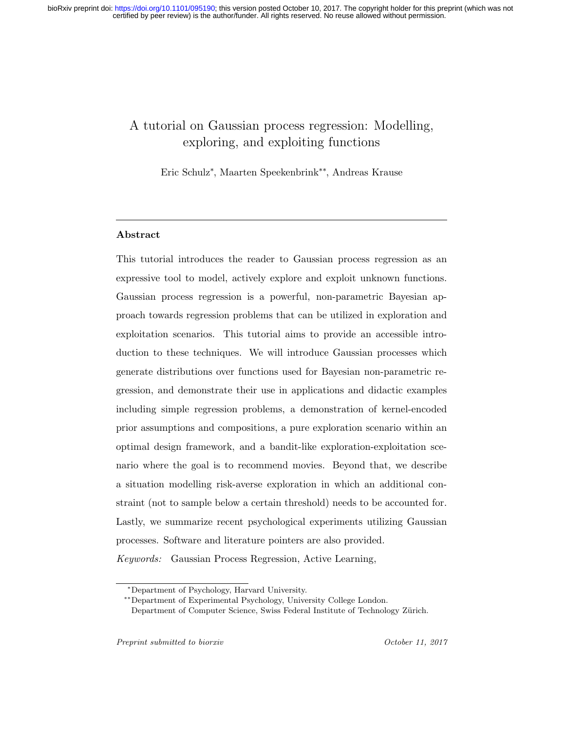# A tutorial on Gaussian process regression: Modelling, exploring, and exploiting functions

Eric Schulz<sup>∗</sup> , Maarten Speekenbrink∗∗, Andreas Krause

# Abstract

This tutorial introduces the reader to Gaussian process regression as an expressive tool to model, actively explore and exploit unknown functions. Gaussian process regression is a powerful, non-parametric Bayesian approach towards regression problems that can be utilized in exploration and exploitation scenarios. This tutorial aims to provide an accessible introduction to these techniques. We will introduce Gaussian processes which generate distributions over functions used for Bayesian non-parametric regression, and demonstrate their use in applications and didactic examples including simple regression problems, a demonstration of kernel-encoded prior assumptions and compositions, a pure exploration scenario within an optimal design framework, and a bandit-like exploration-exploitation scenario where the goal is to recommend movies. Beyond that, we describe a situation modelling risk-averse exploration in which an additional constraint (not to sample below a certain threshold) needs to be accounted for. Lastly, we summarize recent psychological experiments utilizing Gaussian processes. Software and literature pointers are also provided. Keywords: Gaussian Process Regression, Active Learning,

<sup>∗</sup>Department of Psychology, Harvard University.

<sup>∗∗</sup>Department of Experimental Psychology, University College London.

Department of Computer Science, Swiss Federal Institute of Technology Zürich.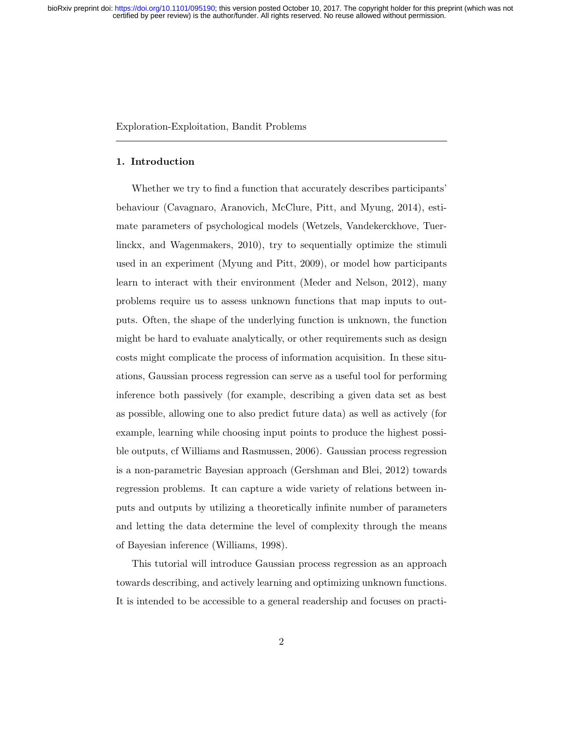### Exploration-Exploitation, Bandit Problems

### 1. Introduction

Whether we try to find a function that accurately describes participants' behaviour (Cavagnaro, Aranovich, McClure, Pitt, and Myung, 2014), estimate parameters of psychological models (Wetzels, Vandekerckhove, Tuerlinckx, and Wagenmakers, 2010), try to sequentially optimize the stimuli used in an experiment (Myung and Pitt, 2009), or model how participants learn to interact with their environment (Meder and Nelson, 2012), many problems require us to assess unknown functions that map inputs to outputs. Often, the shape of the underlying function is unknown, the function might be hard to evaluate analytically, or other requirements such as design costs might complicate the process of information acquisition. In these situations, Gaussian process regression can serve as a useful tool for performing inference both passively (for example, describing a given data set as best as possible, allowing one to also predict future data) as well as actively (for example, learning while choosing input points to produce the highest possible outputs, cf Williams and Rasmussen, 2006). Gaussian process regression is a non-parametric Bayesian approach (Gershman and Blei, 2012) towards regression problems. It can capture a wide variety of relations between inputs and outputs by utilizing a theoretically infinite number of parameters and letting the data determine the level of complexity through the means of Bayesian inference (Williams, 1998).

This tutorial will introduce Gaussian process regression as an approach towards describing, and actively learning and optimizing unknown functions. It is intended to be accessible to a general readership and focuses on practi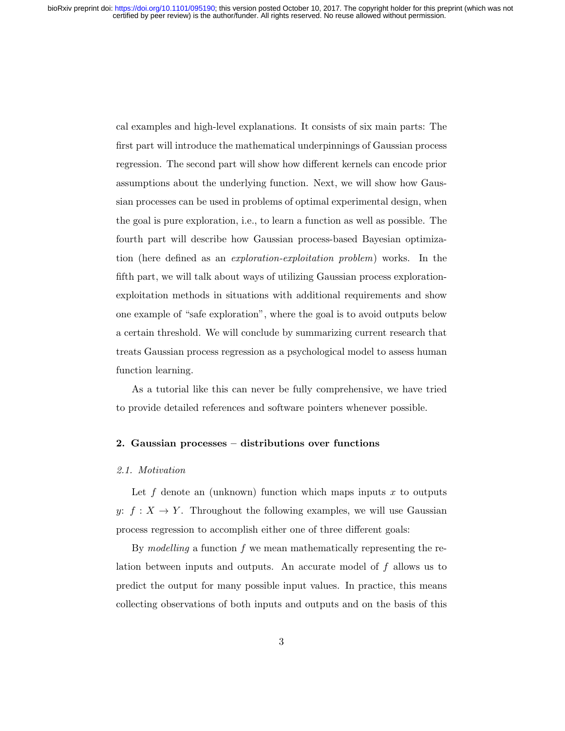cal examples and high-level explanations. It consists of six main parts: The first part will introduce the mathematical underpinnings of Gaussian process regression. The second part will show how different kernels can encode prior assumptions about the underlying function. Next, we will show how Gaussian processes can be used in problems of optimal experimental design, when the goal is pure exploration, i.e., to learn a function as well as possible. The fourth part will describe how Gaussian process-based Bayesian optimization (here defined as an exploration-exploitation problem) works. In the fifth part, we will talk about ways of utilizing Gaussian process explorationexploitation methods in situations with additional requirements and show one example of "safe exploration", where the goal is to avoid outputs below a certain threshold. We will conclude by summarizing current research that treats Gaussian process regression as a psychological model to assess human function learning.

As a tutorial like this can never be fully comprehensive, we have tried to provide detailed references and software pointers whenever possible.

### 2. Gaussian processes – distributions over functions

#### 2.1. Motivation

Let f denote an (unknown) function which maps inputs x to outputs y:  $f: X \to Y$ . Throughout the following examples, we will use Gaussian process regression to accomplish either one of three different goals:

By modelling a function  $f$  we mean mathematically representing the relation between inputs and outputs. An accurate model of f allows us to predict the output for many possible input values. In practice, this means collecting observations of both inputs and outputs and on the basis of this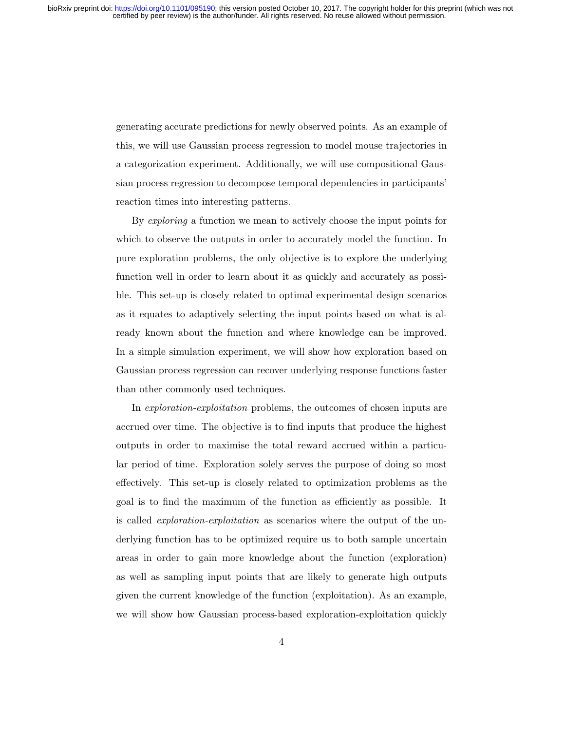generating accurate predictions for newly observed points. As an example of this, we will use Gaussian process regression to model mouse trajectories in a categorization experiment. Additionally, we will use compositional Gaussian process regression to decompose temporal dependencies in participants' reaction times into interesting patterns.

By *exploring* a function we mean to actively choose the input points for which to observe the outputs in order to accurately model the function. In pure exploration problems, the only objective is to explore the underlying function well in order to learn about it as quickly and accurately as possible. This set-up is closely related to optimal experimental design scenarios as it equates to adaptively selecting the input points based on what is already known about the function and where knowledge can be improved. In a simple simulation experiment, we will show how exploration based on Gaussian process regression can recover underlying response functions faster than other commonly used techniques.

In exploration-exploitation problems, the outcomes of chosen inputs are accrued over time. The objective is to find inputs that produce the highest outputs in order to maximise the total reward accrued within a particular period of time. Exploration solely serves the purpose of doing so most effectively. This set-up is closely related to optimization problems as the goal is to find the maximum of the function as efficiently as possible. It is called *exploration-exploitation* as scenarios where the output of the underlying function has to be optimized require us to both sample uncertain areas in order to gain more knowledge about the function (exploration) as well as sampling input points that are likely to generate high outputs given the current knowledge of the function (exploitation). As an example, we will show how Gaussian process-based exploration-exploitation quickly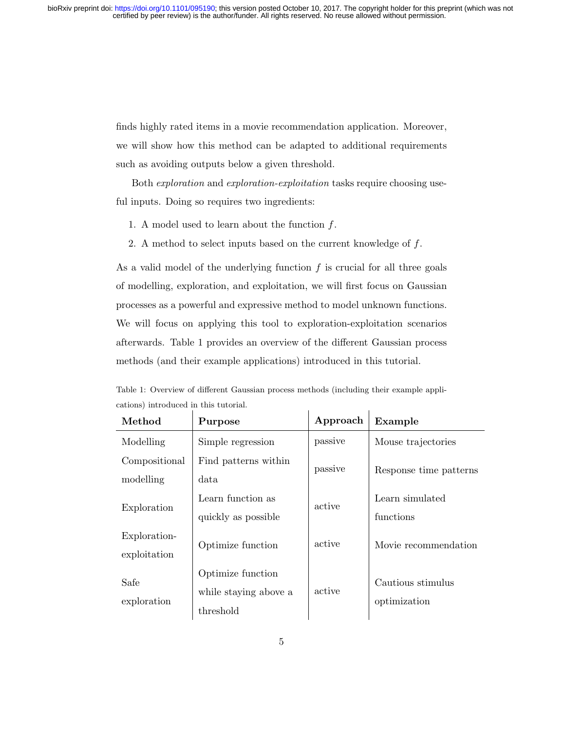finds highly rated items in a movie recommendation application. Moreover, we will show how this method can be adapted to additional requirements such as avoiding outputs below a given threshold.

Both exploration and exploration-exploitation tasks require choosing useful inputs. Doing so requires two ingredients:

- 1. A model used to learn about the function  $f$ .
- 2. A method to select inputs based on the current knowledge of f.

As a valid model of the underlying function  $f$  is crucial for all three goals of modelling, exploration, and exploitation, we will first focus on Gaussian processes as a powerful and expressive method to model unknown functions. We will focus on applying this tool to exploration-exploitation scenarios afterwards. Table 1 provides an overview of the different Gaussian process methods (and their example applications) introduced in this tutorial.

| Method        | Purpose               | Approach | Example                |
|---------------|-----------------------|----------|------------------------|
| Modelling     | Simple regression     | passive  | Mouse trajectories     |
| Compositional | Find patterns within  | passive  | Response time patterns |
| modelling     | data                  |          |                        |
| Exploration   | Learn function as     | active   | Learn simulated        |
|               | quickly as possible   |          | functions              |
| Exploration-  | Optimize function     | active   | Movie recommendation   |
| exploitation  |                       |          |                        |
| Safe          | Optimize function     |          | Cautious stimulus      |
| exploration   | while staying above a | active   | optimization           |
|               | threshold             |          |                        |

Table 1: Overview of different Gaussian process methods (including their example applications) introduced in this tutorial.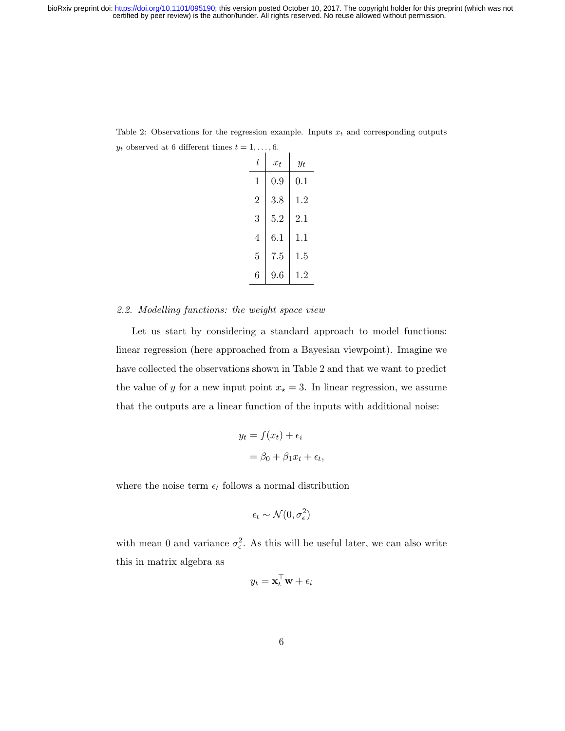| t              | $x_t$   | Уŧ      |
|----------------|---------|---------|
| 1              | $0.9\,$ | $0.1\,$ |
| $\overline{2}$ | 3.8     | 1.2     |
| 3              | 5.2     | 2.1     |
| 4              | 6.1     | 1.1     |
| 5              | 7.5     | 1.5     |
| 6              | 9.6     | 12      |

Table 2: Observations for the regression example. Inputs  $x_t$  and corresponding outputs  $y_t$  observed at 6 different times  $t = 1, \ldots, 6$ .

### 2.2. Modelling functions: the weight space view

Let us start by considering a standard approach to model functions: linear regression (here approached from a Bayesian viewpoint). Imagine we have collected the observations shown in Table 2 and that we want to predict the value of y for a new input point  $x_\star = 3$ . In linear regression, we assume that the outputs are a linear function of the inputs with additional noise:

$$
y_t = f(x_t) + \epsilon_i
$$

$$
= \beta_0 + \beta_1 x_t + \epsilon_t,
$$

where the noise term  $\epsilon_t$  follows a normal distribution

$$
\epsilon_t \sim \mathcal{N}(0, \sigma^2_{\epsilon})
$$

with mean 0 and variance  $\sigma_{\epsilon}^2$ . As this will be useful later, we can also write this in matrix algebra as

$$
y_t = \mathbf{x}_t^\top \mathbf{w} + \epsilon_i
$$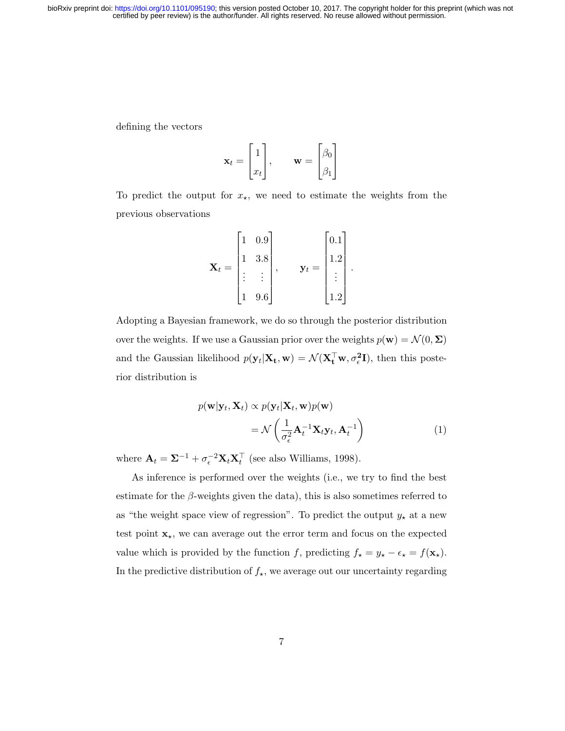defining the vectors

$$
\mathbf{x}_t = \begin{bmatrix} 1 \\ x_t \end{bmatrix}, \qquad \mathbf{w} = \begin{bmatrix} \beta_0 \\ \beta_1 \end{bmatrix}
$$

To predict the output for  $x_{\star}$ , we need to estimate the weights from the previous observations

$$
\mathbf{X}_{t} = \begin{bmatrix} 1 & 0.9 \\ 1 & 3.8 \\ \vdots & \vdots \\ 1 & 9.6 \end{bmatrix}, \quad \mathbf{y}_{t} = \begin{bmatrix} 0.1 \\ 1.2 \\ \vdots \\ 1.2 \end{bmatrix}.
$$

Adopting a Bayesian framework, we do so through the posterior distribution over the weights. If we use a Gaussian prior over the weights  $p(\mathbf{w}) = \mathcal{N}(0, \Sigma)$ and the Gaussian likelihood  $p(\mathbf{y}_t|\mathbf{X}_t,\mathbf{w}) = \mathcal{N}(\mathbf{X}_t^{\top}\mathbf{w}, \sigma_\epsilon^2 \mathbf{I})$ , then this posterior distribution is

$$
p(\mathbf{w}|\mathbf{y}_t, \mathbf{X}_t) \propto p(\mathbf{y}_t|\mathbf{X}_t, \mathbf{w})p(\mathbf{w})
$$
  
=  $\mathcal{N}\left(\frac{1}{\sigma_\epsilon^2} \mathbf{A}_t^{-1} \mathbf{X}_t \mathbf{y}_t, \mathbf{A}_t^{-1}\right)$  (1)

where  $\mathbf{A}_t = \mathbf{\Sigma}^{-1} + \sigma_\epsilon^{-2} \mathbf{X}_t \mathbf{X}_t^\top$  (see also Williams, 1998).

As inference is performed over the weights (i.e., we try to find the best estimate for the  $\beta$ -weights given the data), this is also sometimes referred to as "the weight space view of regression". To predict the output  $y_{\star}$  at a new test point  $\mathbf{x}_{\star}$ , we can average out the error term and focus on the expected value which is provided by the function f, predicting  $f_{\star} = y_{\star} - \epsilon_{\star} = f(\mathbf{x}_{\star}).$ In the predictive distribution of  $f_{\star}$ , we average out our uncertainty regarding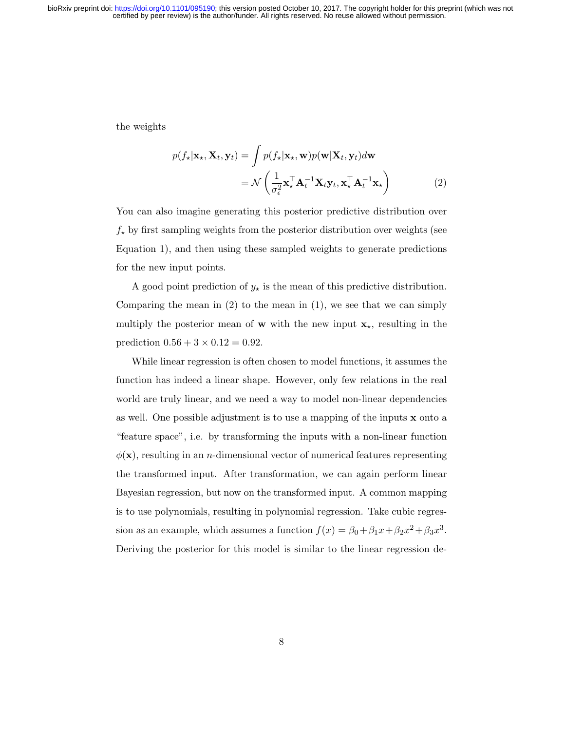the weights

$$
p(f_{\star}|\mathbf{x}_{\star}, \mathbf{X}_{t}, \mathbf{y}_{t}) = \int p(f_{\star}|\mathbf{x}_{\star}, \mathbf{w}) p(\mathbf{w}|\mathbf{X}_{t}, \mathbf{y}_{t}) d\mathbf{w}
$$
  
=  $\mathcal{N}\left(\frac{1}{\sigma_{\epsilon}^{2}} \mathbf{x}_{\star}^{\top} \mathbf{A}_{t}^{-1} \mathbf{X}_{t} \mathbf{y}_{t}, \mathbf{x}_{\star}^{\top} \mathbf{A}_{t}^{-1} \mathbf{x}_{\star}\right)$  (2)

You can also imagine generating this posterior predictive distribution over  $f_{\star}$  by first sampling weights from the posterior distribution over weights (see Equation 1), and then using these sampled weights to generate predictions for the new input points.

A good point prediction of  $y_{\star}$  is the mean of this predictive distribution. Comparing the mean in  $(2)$  to the mean in  $(1)$ , we see that we can simply multiply the posterior mean of **w** with the new input  $\mathbf{x}_{\star}$ , resulting in the prediction  $0.56 + 3 \times 0.12 = 0.92$ .

While linear regression is often chosen to model functions, it assumes the function has indeed a linear shape. However, only few relations in the real world are truly linear, and we need a way to model non-linear dependencies as well. One possible adjustment is to use a mapping of the inputs  $x$  onto a "feature space", i.e. by transforming the inputs with a non-linear function  $\phi(\mathbf{x})$ , resulting in an *n*-dimensional vector of numerical features representing the transformed input. After transformation, we can again perform linear Bayesian regression, but now on the transformed input. A common mapping is to use polynomials, resulting in polynomial regression. Take cubic regression as an example, which assumes a function  $f(x) = \beta_0 + \beta_1 x + \beta_2 x^2 + \beta_3 x^3$ . Deriving the posterior for this model is similar to the linear regression de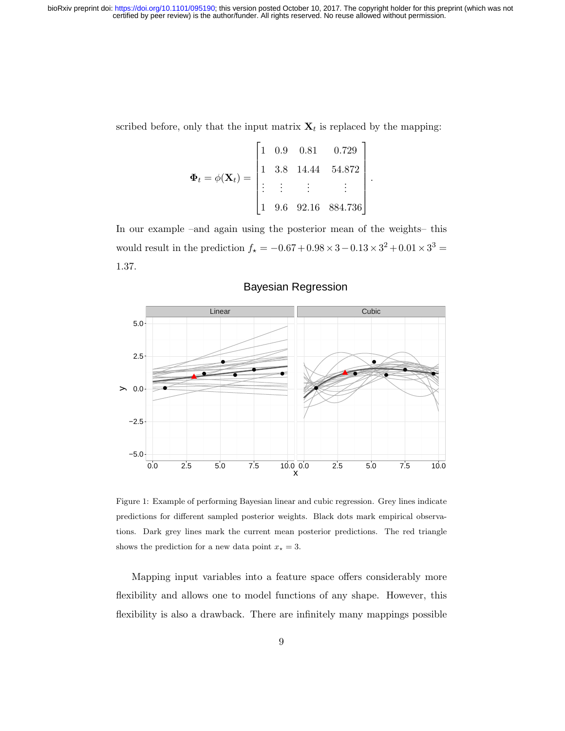scribed before, only that the input matrix  $\mathbf{X}_t$  is replaced by the mapping:

$$
\mathbf{\Phi}_t = \phi(\mathbf{X}_t) = \begin{bmatrix} 1 & 0.9 & 0.81 & 0.729 \\ 1 & 3.8 & 14.44 & 54.872 \\ \vdots & \vdots & \vdots & \vdots \\ 1 & 9.6 & 92.16 & 884.736 \end{bmatrix}.
$$

In our example –and again using the posterior mean of the weights– this would result in the prediction  $f_{\star} = -0.67 + 0.98 \times 3 - 0.13 \times 3^2 + 0.01 \times 3^3 =$ 1.37.



# Bayesian Regression

Figure 1: Example of performing Bayesian linear and cubic regression. Grey lines indicate predictions for different sampled posterior weights. Black dots mark empirical observations. Dark grey lines mark the current mean posterior predictions. The red triangle shows the prediction for a new data point  $x_* = 3$ .

Mapping input variables into a feature space offers considerably more flexibility and allows one to model functions of any shape. However, this flexibility is also a drawback. There are infinitely many mappings possible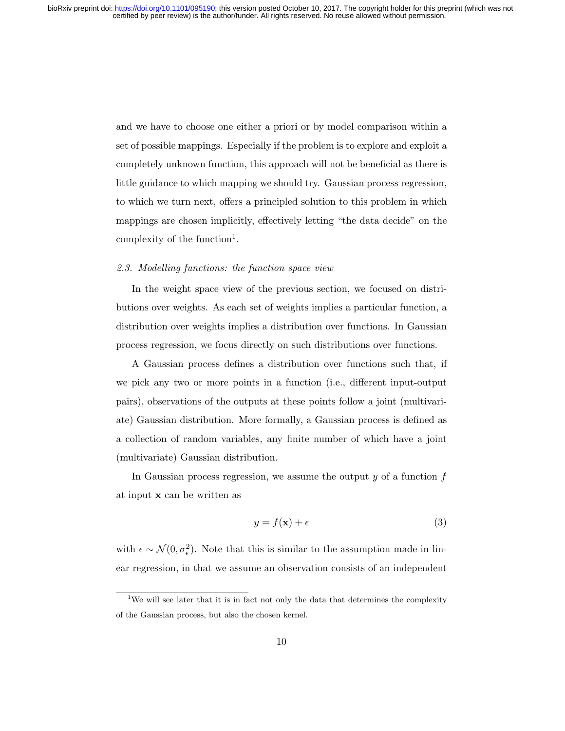and we have to choose one either a priori or by model comparison within a set of possible mappings. Especially if the problem is to explore and exploit a completely unknown function, this approach will not be beneficial as there is little guidance to which mapping we should try. Gaussian process regression, to which we turn next, offers a principled solution to this problem in which mappings are chosen implicitly, effectively letting "the data decide" on the complexity of the function<sup>1</sup>.

### 2.3. Modelling functions: the function space view

In the weight space view of the previous section, we focused on distributions over weights. As each set of weights implies a particular function, a distribution over weights implies a distribution over functions. In Gaussian process regression, we focus directly on such distributions over functions.

A Gaussian process defines a distribution over functions such that, if we pick any two or more points in a function (i.e., different input-output pairs), observations of the outputs at these points follow a joint (multivariate) Gaussian distribution. More formally, a Gaussian process is defined as a collection of random variables, any finite number of which have a joint (multivariate) Gaussian distribution.

In Gaussian process regression, we assume the output  $y$  of a function  $f$ at input x can be written as

$$
y = f(\mathbf{x}) + \epsilon \tag{3}
$$

with  $\epsilon \sim \mathcal{N}(0, \sigma_{\epsilon}^2)$ . Note that this is similar to the assumption made in linear regression, in that we assume an observation consists of an independent

<sup>&</sup>lt;sup>1</sup>We will see later that it is in fact not only the data that determines the complexity of the Gaussian process, but also the chosen kernel.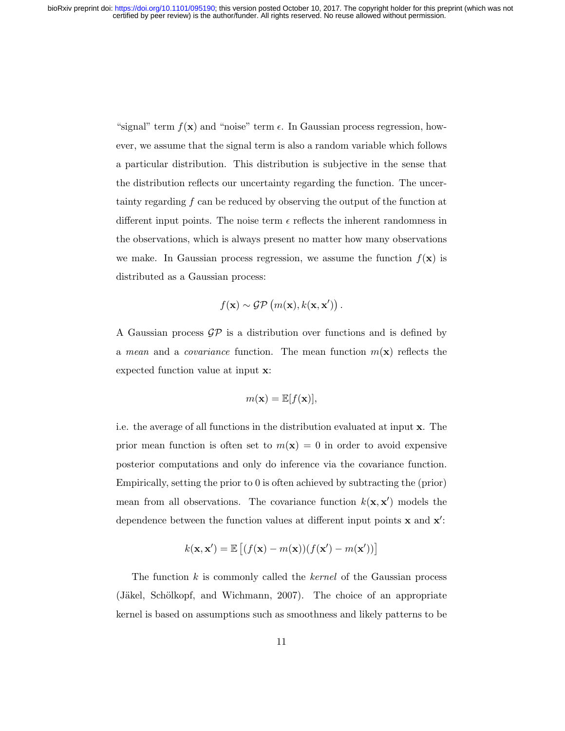"signal" term  $f(\mathbf{x})$  and "noise" term  $\epsilon$ . In Gaussian process regression, however, we assume that the signal term is also a random variable which follows a particular distribution. This distribution is subjective in the sense that the distribution reflects our uncertainty regarding the function. The uncertainty regarding f can be reduced by observing the output of the function at different input points. The noise term  $\epsilon$  reflects the inherent randomness in the observations, which is always present no matter how many observations we make. In Gaussian process regression, we assume the function  $f(\mathbf{x})$  is distributed as a Gaussian process:

$$
f(\mathbf{x}) \sim \mathcal{GP}(m(\mathbf{x}), k(\mathbf{x}, \mathbf{x}'))
$$
.

A Gaussian process  $\mathcal{GP}$  is a distribution over functions and is defined by a mean and a covariance function. The mean function  $m(\mathbf{x})$  reflects the expected function value at input x:

$$
m(\mathbf{x}) = \mathbb{E}[f(\mathbf{x})],
$$

i.e. the average of all functions in the distribution evaluated at input x. The prior mean function is often set to  $m(\mathbf{x}) = 0$  in order to avoid expensive posterior computations and only do inference via the covariance function. Empirically, setting the prior to 0 is often achieved by subtracting the (prior) mean from all observations. The covariance function  $k(\mathbf{x}, \mathbf{x}')$  models the dependence between the function values at different input points  $x$  and  $x'$ :

$$
k(\mathbf{x}, \mathbf{x}') = \mathbb{E}\left[ (f(\mathbf{x}) - m(\mathbf{x})) (f(\mathbf{x}') - m(\mathbf{x}')) \right]
$$

The function  $k$  is commonly called the *kernel* of the Gaussian process (Jäkel, Schölkopf, and Wichmann, 2007). The choice of an appropriate kernel is based on assumptions such as smoothness and likely patterns to be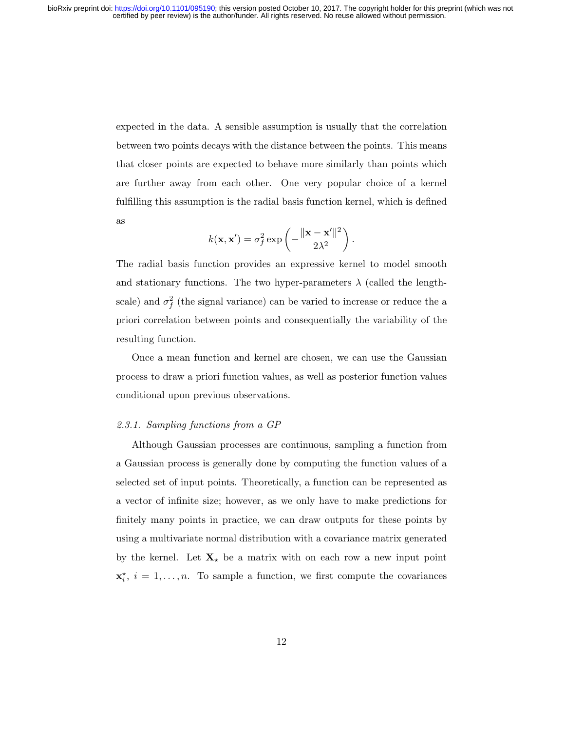expected in the data. A sensible assumption is usually that the correlation between two points decays with the distance between the points. This means that closer points are expected to behave more similarly than points which are further away from each other. One very popular choice of a kernel fulfilling this assumption is the radial basis function kernel, which is defined as

$$
k(\mathbf{x}, \mathbf{x}') = \sigma_f^2 \exp\left(-\frac{\|\mathbf{x} - \mathbf{x}'\|^2}{2\lambda^2}\right).
$$

The radial basis function provides an expressive kernel to model smooth and stationary functions. The two hyper-parameters  $\lambda$  (called the lengthscale) and  $\sigma_f^2$  (the signal variance) can be varied to increase or reduce the a priori correlation between points and consequentially the variability of the resulting function.

Once a mean function and kernel are chosen, we can use the Gaussian process to draw a priori function values, as well as posterior function values conditional upon previous observations.

### 2.3.1. Sampling functions from a GP

Although Gaussian processes are continuous, sampling a function from a Gaussian process is generally done by computing the function values of a selected set of input points. Theoretically, a function can be represented as a vector of infinite size; however, as we only have to make predictions for finitely many points in practice, we can draw outputs for these points by using a multivariate normal distribution with a covariance matrix generated by the kernel. Let  $X_{\star}$  be a matrix with on each row a new input point  $\mathbf{x}_i^{\star}, i = 1, \ldots, n$ . To sample a function, we first compute the covariances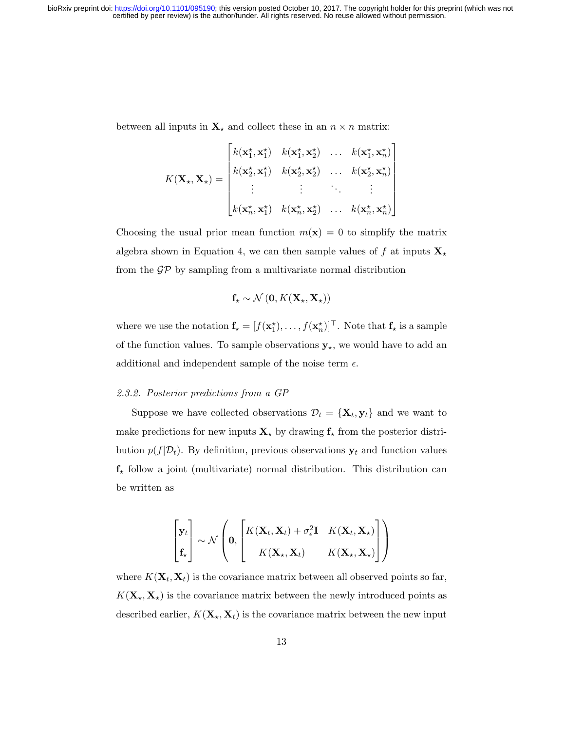between all inputs in  $\mathbf{X}_{\star}$  and collect these in an  $n \times n$  matrix:

$$
K(\mathbf{X}_{\star}, \mathbf{X}_{\star}) = \begin{bmatrix} k(\mathbf{x}_{1}^{\star}, \mathbf{x}_{1}^{\star}) & k(\mathbf{x}_{1}^{\star}, \mathbf{x}_{2}^{\star}) & \dots & k(\mathbf{x}_{1}^{\star}, \mathbf{x}_{n}^{\star}) \\ k(\mathbf{x}_{2}^{\star}, \mathbf{x}_{1}^{\star}) & k(\mathbf{x}_{2}^{\star}, \mathbf{x}_{2}^{\star}) & \dots & k(\mathbf{x}_{2}^{\star}, \mathbf{x}_{n}^{\star}) \\ \vdots & \vdots & \ddots & \vdots \\ k(\mathbf{x}_{n}^{\star}, \mathbf{x}_{1}^{\star}) & k(\mathbf{x}_{n}^{\star}, \mathbf{x}_{2}^{\star}) & \dots & k(\mathbf{x}_{n}^{\star}, \mathbf{x}_{n}^{\star}) \end{bmatrix}
$$

Choosing the usual prior mean function  $m(\mathbf{x}) = 0$  to simplify the matrix algebra shown in Equation 4, we can then sample values of f at inputs  $\mathbf{X}_{\star}$ from the  $\mathcal{GP}$  by sampling from a multivariate normal distribution

$$
\mathbf{f}_\star \sim \mathcal{N}\left(\mathbf{0}, K(\mathbf{X}_\star, \mathbf{X}_\star)\right)
$$

where we use the notation  $f_{\star} = [f(\mathbf{x}_1^{\star}), \dots, f(\mathbf{x}_n^{\star})]^{\top}$ . Note that  $f_{\star}$  is a sample of the function values. To sample observations  $\mathbf{y}_{\star},$  we would have to add an additional and independent sample of the noise term  $\epsilon$ .

## 2.3.2. Posterior predictions from a GP

Suppose we have collected observations  $\mathcal{D}_t = {\mathbf{X}_t, \mathbf{y}_t}$  and we want to make predictions for new inputs  $\mathbf{X}_{\star}$  by drawing  $\mathbf{f}_{\star}$  from the posterior distribution  $p(f|\mathcal{D}_t)$ . By definition, previous observations  $\mathbf{y}_t$  and function values  $f_{\star}$  follow a joint (multivariate) normal distribution. This distribution can be written as

$$
\begin{bmatrix} \mathbf{y}_t \\ \mathbf{f}_\star \end{bmatrix} \sim \mathcal{N} \left( \mathbf{0}, \begin{bmatrix} K(\mathbf{X}_t, \mathbf{X}_t) + \sigma_\epsilon^2 \mathbf{I} & K(\mathbf{X}_t, \mathbf{X}_\star) \\ K(\mathbf{X}_\star, \mathbf{X}_t) & K(\mathbf{X}_\star, \mathbf{X}_\star) \end{bmatrix} \right)
$$

where  $K(\mathbf{X}_t, \mathbf{X}_t)$  is the covariance matrix between all observed points so far,  $K(\mathbf{X}_{\star}, \mathbf{X}_{\star})$  is the covariance matrix between the newly introduced points as described earlier,  $K(\mathbf{X}_{\star}, \mathbf{X}_{t})$  is the covariance matrix between the new input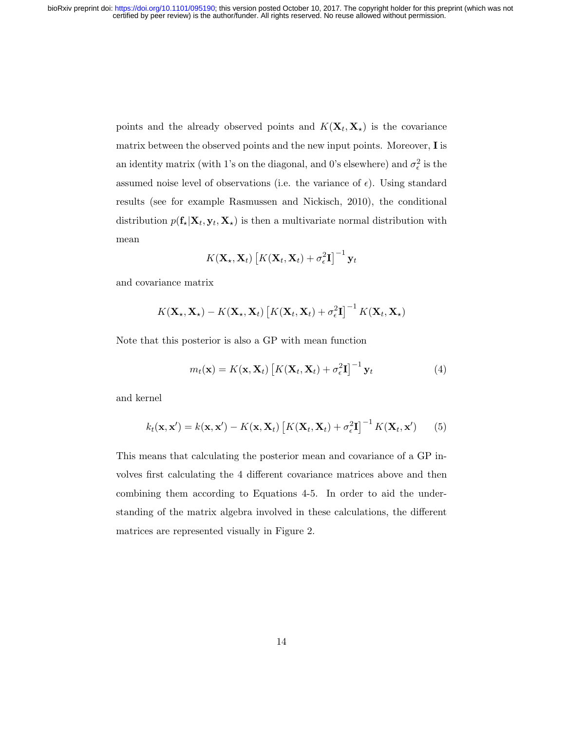points and the already observed points and  $K(\mathbf{X}_t, \mathbf{X}_t)$  is the covariance matrix between the observed points and the new input points. Moreover, I is an identity matrix (with 1's on the diagonal, and 0's elsewhere) and  $\sigma_{\epsilon}^2$  is the assumed noise level of observations (i.e. the variance of  $\epsilon$ ). Using standard results (see for example Rasmussen and Nickisch, 2010), the conditional distribution  $p(\mathbf{f}_{\star}|\mathbf{X}_t, \mathbf{y}_t, \mathbf{X}_{\star})$  is then a multivariate normal distribution with mean

$$
K(\mathbf{X}_{\star}, \mathbf{X}_{t}) \left[ K(\mathbf{X}_{t}, \mathbf{X}_{t}) + \sigma_{\epsilon}^{2} \mathbf{I} \right]^{-1} \mathbf{y}_{t}
$$

and covariance matrix

$$
K(\mathbf{X}_{\star}, \mathbf{X}_{\star}) - K(\mathbf{X}_{\star}, \mathbf{X}_{t}) \left[ K(\mathbf{X}_{t}, \mathbf{X}_{t}) + \sigma_{\epsilon}^{2} \mathbf{I} \right]^{-1} K(\mathbf{X}_{t}, \mathbf{X}_{\star})
$$

Note that this posterior is also a GP with mean function

$$
m_t(\mathbf{x}) = K(\mathbf{x}, \mathbf{X}_t) \left[ K(\mathbf{X}_t, \mathbf{X}_t) + \sigma_\epsilon^2 \mathbf{I} \right]^{-1} \mathbf{y}_t \tag{4}
$$

and kernel

$$
k_t(\mathbf{x}, \mathbf{x}') = k(\mathbf{x}, \mathbf{x}') - K(\mathbf{x}, \mathbf{X}_t) \left[ K(\mathbf{X}_t, \mathbf{X}_t) + \sigma_\epsilon^2 \mathbf{I} \right]^{-1} K(\mathbf{X}_t, \mathbf{x}') \tag{5}
$$

This means that calculating the posterior mean and covariance of a GP involves first calculating the 4 different covariance matrices above and then combining them according to Equations 4-5. In order to aid the understanding of the matrix algebra involved in these calculations, the different matrices are represented visually in Figure 2.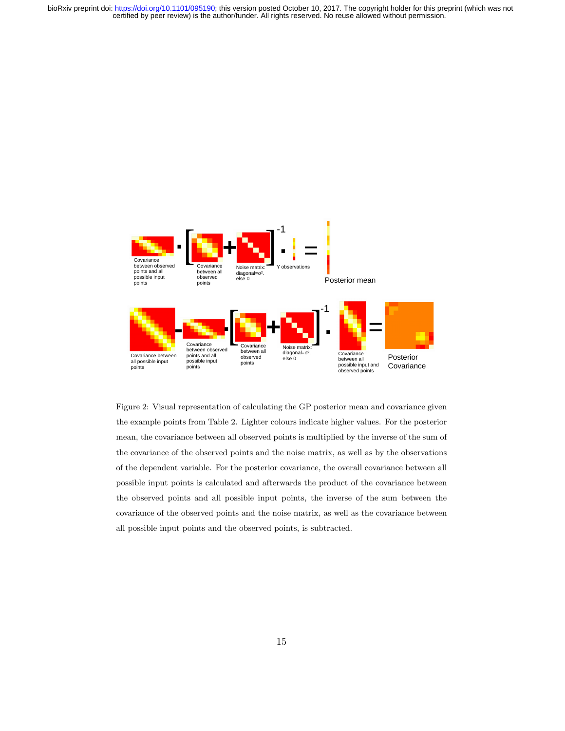

Figure 2: Visual representation of calculating the GP posterior mean and covariance given the example points from Table 2. Lighter colours indicate higher values. For the posterior mean, the covariance between all observed points is multiplied by the inverse of the sum of the covariance of the observed points and the noise matrix, as well as by the observations of the dependent variable. For the posterior covariance, the overall covariance between all possible input points is calculated and afterwards the product of the covariance between the observed points and all possible input points, the inverse of the sum between the covariance of the observed points and the noise matrix, as well as the covariance between all possible input points and the observed points, is subtracted.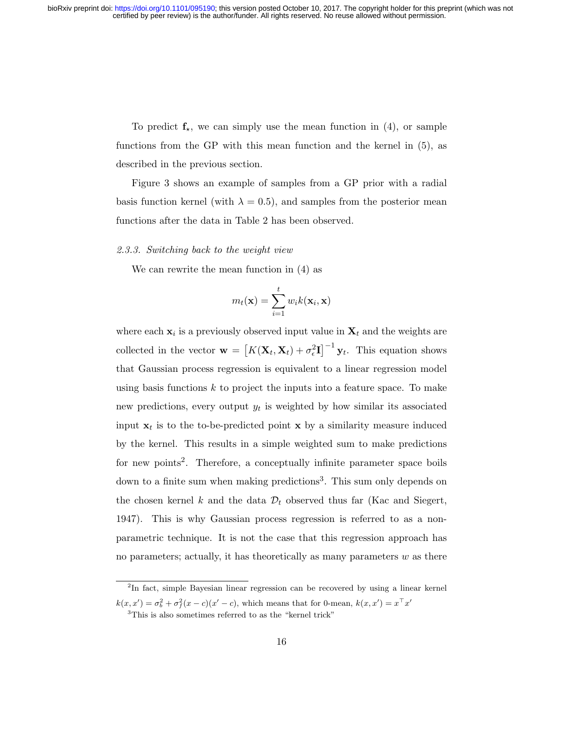To predict  $f_{\star}$ , we can simply use the mean function in (4), or sample functions from the GP with this mean function and the kernel in (5), as described in the previous section.

Figure 3 shows an example of samples from a GP prior with a radial basis function kernel (with  $\lambda = 0.5$ ), and samples from the posterior mean functions after the data in Table 2 has been observed.

### 2.3.3. Switching back to the weight view

We can rewrite the mean function in (4) as

$$
m_t(\mathbf{x}) = \sum_{i=1}^t w_i k(\mathbf{x}_i, \mathbf{x})
$$

where each  $x_i$  is a previously observed input value in  $X_t$  and the weights are collected in the vector  $\mathbf{w} = [K(\mathbf{X}_t, \mathbf{X}_t) + \sigma_\epsilon^2 \mathbf{I}]^{-1} \mathbf{y}_t$ . This equation shows that Gaussian process regression is equivalent to a linear regression model using basis functions  $k$  to project the inputs into a feature space. To make new predictions, every output  $y_t$  is weighted by how similar its associated input  $x_t$  is to the to-be-predicted point x by a similarity measure induced by the kernel. This results in a simple weighted sum to make predictions for new points<sup>2</sup>. Therefore, a conceptually infinite parameter space boils down to a finite sum when making predictions<sup>3</sup>. This sum only depends on the chosen kernel k and the data  $\mathcal{D}_t$  observed thus far (Kac and Siegert, 1947). This is why Gaussian process regression is referred to as a nonparametric technique. It is not the case that this regression approach has no parameters; actually, it has theoretically as many parameters  $w$  as there

<sup>&</sup>lt;sup>2</sup>In fact, simple Bayesian linear regression can be recovered by using a linear kernel  $k(x, x') = \sigma_b^2 + \sigma_f^2(x - c)(x' - c)$ , which means that for 0-mean,  $k(x, x') = x^{\top} x'$ 

<sup>3</sup>This is also sometimes referred to as the "kernel trick"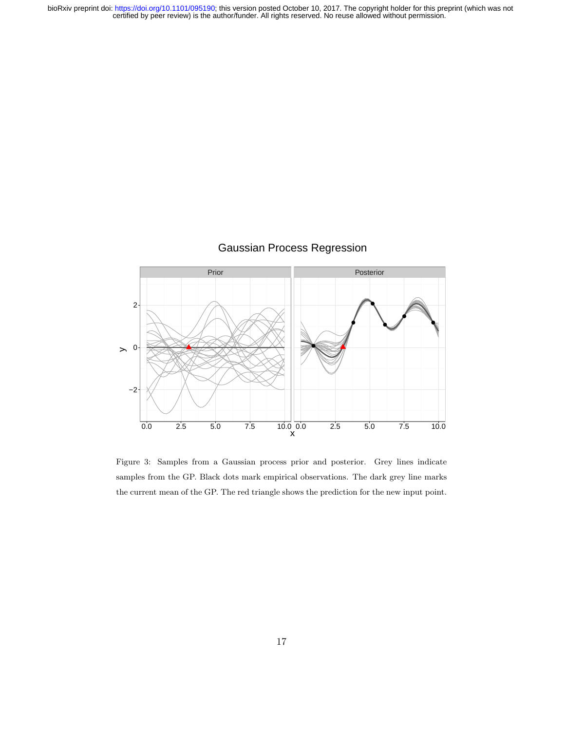

Figure 3: Samples from a Gaussian process prior and posterior. Grey lines indicate samples from the GP. Black dots mark empirical observations. The dark grey line marks the current mean of the GP. The red triangle shows the prediction for the new input point.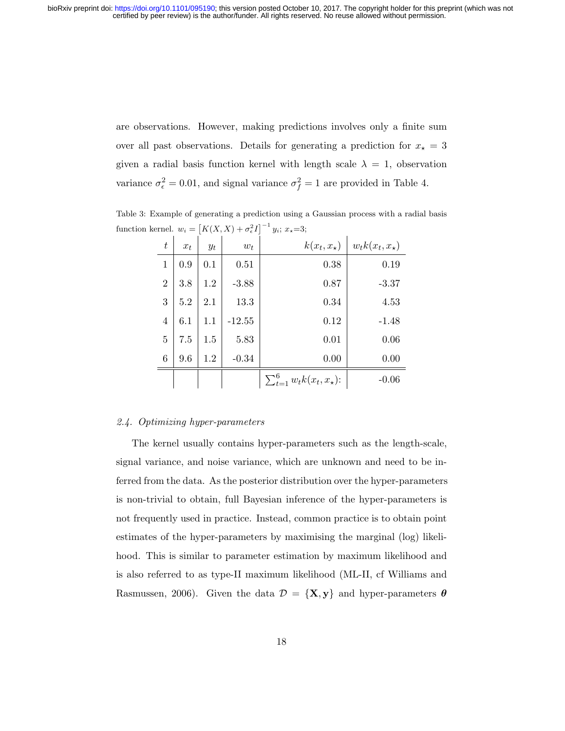are observations. However, making predictions involves only a finite sum over all past observations. Details for generating a prediction for  $x<sub>\star</sub> = 3$ given a radial basis function kernel with length scale  $\lambda = 1$ , observation variance  $\sigma_{\epsilon}^2 = 0.01$ , and signal variance  $\sigma_f^2 = 1$  are provided in Table 4.

Table 3: Example of generating a prediction using a Gaussian process with a radial basis function kernel.  $w_i = \left[K(X, X) + \sigma_{\epsilon}^2 I\right]^{-1} y_i$ ;  $x_{\star} = 3$ ;

| t              | $x_t$ | $y_t$ | $w_t$    | $k(x_t, x_\star)$                    | $w_t k(x_t, x_\star)$ |
|----------------|-------|-------|----------|--------------------------------------|-----------------------|
| 1              | 0.9   | 0.1   | 0.51     | 0.38                                 | 0.19                  |
| $\overline{2}$ | 3.8   | 1.2   | $-3.88$  | 0.87                                 | $-3.37$               |
| 3              | 5.2   | 2.1   | 13.3     | 0.34                                 | 4.53                  |
| $\overline{4}$ | 6.1   | 1.1   | $-12.55$ | 0.12                                 | $-1.48$               |
| 5              | 7.5   | 1.5   | 5.83     | 0.01                                 | 0.06                  |
| 6              | 9.6   | 1.2   | $-0.34$  | 0.00                                 | 0.00                  |
|                |       |       |          | $\sum_{t=1}^6 w_t k(x_t, x_\star)$ : | $-0.06$               |

### 2.4. Optimizing hyper-parameters

The kernel usually contains hyper-parameters such as the length-scale, signal variance, and noise variance, which are unknown and need to be inferred from the data. As the posterior distribution over the hyper-parameters is non-trivial to obtain, full Bayesian inference of the hyper-parameters is not frequently used in practice. Instead, common practice is to obtain point estimates of the hyper-parameters by maximising the marginal (log) likelihood. This is similar to parameter estimation by maximum likelihood and is also referred to as type-II maximum likelihood (ML-II, cf Williams and Rasmussen, 2006). Given the data  $\mathcal{D} = \{X, y\}$  and hyper-parameters  $\boldsymbol{\theta}$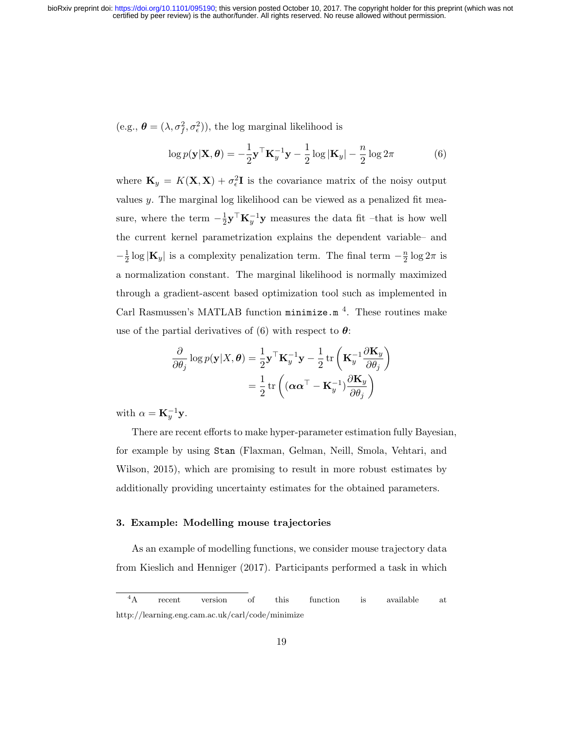$(e.g., \boldsymbol{\theta} = (\lambda, \sigma_f^2, \sigma_e^2)),$  the log marginal likelihood is

$$
\log p(\mathbf{y}|\mathbf{X}, \boldsymbol{\theta}) = -\frac{1}{2}\mathbf{y}^{\top}\mathbf{K}_{y}^{-1}\mathbf{y} - \frac{1}{2}\log|\mathbf{K}_{y}| - \frac{n}{2}\log 2\pi
$$
 (6)

where  $\mathbf{K}_y = K(\mathbf{X}, \mathbf{X}) + \sigma_\epsilon^2 \mathbf{I}$  is the covariance matrix of the noisy output values y. The marginal log likelihood can be viewed as a penalized fit measure, where the term  $-\frac{1}{2}$  $\frac{1}{2}$ **y**<sup> $\top$ </sup>**K**<sub>y</sub><sup> $-1$ </sup>**y** measures the data fit –that is how well the current kernel parametrization explains the dependent variable– and  $-\frac{1}{2}$  $\frac{1}{2}$ log  $|\mathbf{K}_y|$  is a complexity penalization term. The final term  $-\frac{n}{2}$  $\frac{n}{2} \log 2\pi$  is a normalization constant. The marginal likelihood is normally maximized through a gradient-ascent based optimization tool such as implemented in Carl Rasmussen's MATLAB function minimize.m<sup>4</sup>. These routines make use of the partial derivatives of (6) with respect to  $\theta$ :

$$
\frac{\partial}{\partial \theta_j} \log p(\mathbf{y}|X, \theta) = \frac{1}{2} \mathbf{y}^\top \mathbf{K}_y^{-1} \mathbf{y} - \frac{1}{2} \operatorname{tr} \left( \mathbf{K}_y^{-1} \frac{\partial \mathbf{K}_y}{\partial \theta_j} \right) \n= \frac{1}{2} \operatorname{tr} \left( (\alpha \alpha^\top - \mathbf{K}_y^{-1}) \frac{\partial \mathbf{K}_y}{\partial \theta_j} \right)
$$

with  $\alpha = \mathbf{K}_y^{-1} \mathbf{y}$ .

There are recent efforts to make hyper-parameter estimation fully Bayesian, for example by using Stan (Flaxman, Gelman, Neill, Smola, Vehtari, and Wilson, 2015), which are promising to result in more robust estimates by additionally providing uncertainty estimates for the obtained parameters.

# 3. Example: Modelling mouse trajectories

As an example of modelling functions, we consider mouse trajectory data from Kieslich and Henniger (2017). Participants performed a task in which

<sup>&</sup>lt;sup>4</sup>A recent version of this function is available at http://learning.eng.cam.ac.uk/carl/code/minimize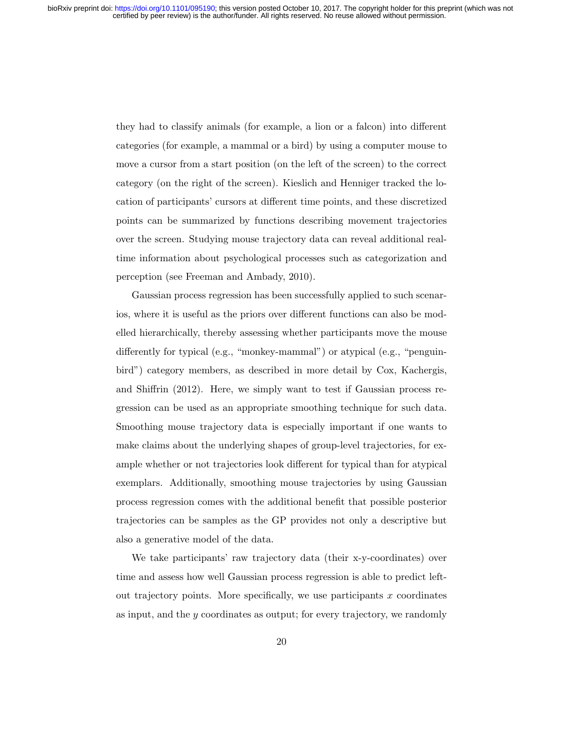they had to classify animals (for example, a lion or a falcon) into different categories (for example, a mammal or a bird) by using a computer mouse to move a cursor from a start position (on the left of the screen) to the correct category (on the right of the screen). Kieslich and Henniger tracked the location of participants' cursors at different time points, and these discretized points can be summarized by functions describing movement trajectories over the screen. Studying mouse trajectory data can reveal additional realtime information about psychological processes such as categorization and perception (see Freeman and Ambady, 2010).

Gaussian process regression has been successfully applied to such scenarios, where it is useful as the priors over different functions can also be modelled hierarchically, thereby assessing whether participants move the mouse differently for typical (e.g., "monkey-mammal") or atypical (e.g., "penguinbird") category members, as described in more detail by Cox, Kachergis, and Shiffrin (2012). Here, we simply want to test if Gaussian process regression can be used as an appropriate smoothing technique for such data. Smoothing mouse trajectory data is especially important if one wants to make claims about the underlying shapes of group-level trajectories, for example whether or not trajectories look different for typical than for atypical exemplars. Additionally, smoothing mouse trajectories by using Gaussian process regression comes with the additional benefit that possible posterior trajectories can be samples as the GP provides not only a descriptive but also a generative model of the data.

We take participants' raw trajectory data (their x-y-coordinates) over time and assess how well Gaussian process regression is able to predict leftout trajectory points. More specifically, we use participants  $x$  coordinates as input, and the y coordinates as output; for every trajectory, we randomly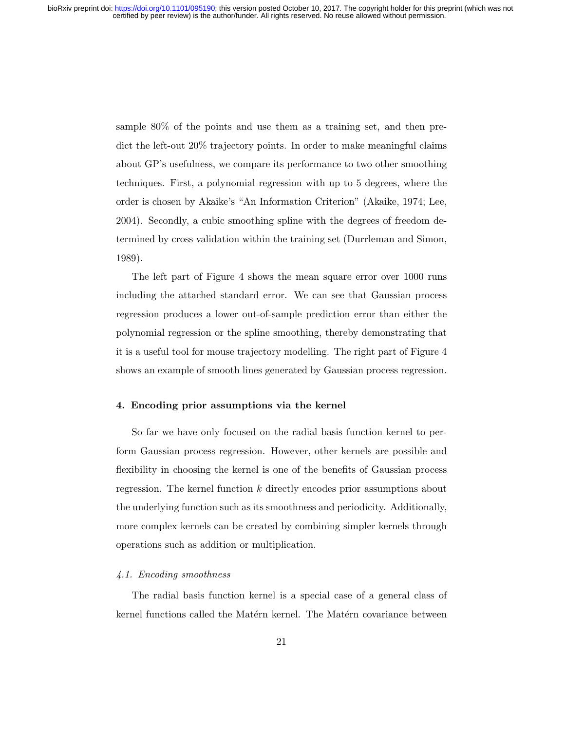sample 80% of the points and use them as a training set, and then predict the left-out 20% trajectory points. In order to make meaningful claims about GP's usefulness, we compare its performance to two other smoothing techniques. First, a polynomial regression with up to 5 degrees, where the order is chosen by Akaike's "An Information Criterion" (Akaike, 1974; Lee, 2004). Secondly, a cubic smoothing spline with the degrees of freedom determined by cross validation within the training set (Durrleman and Simon, 1989).

The left part of Figure 4 shows the mean square error over 1000 runs including the attached standard error. We can see that Gaussian process regression produces a lower out-of-sample prediction error than either the polynomial regression or the spline smoothing, thereby demonstrating that it is a useful tool for mouse trajectory modelling. The right part of Figure 4 shows an example of smooth lines generated by Gaussian process regression.

## 4. Encoding prior assumptions via the kernel

So far we have only focused on the radial basis function kernel to perform Gaussian process regression. However, other kernels are possible and flexibility in choosing the kernel is one of the benefits of Gaussian process regression. The kernel function k directly encodes prior assumptions about the underlying function such as its smoothness and periodicity. Additionally, more complex kernels can be created by combining simpler kernels through operations such as addition or multiplication.

### 4.1. Encoding smoothness

The radial basis function kernel is a special case of a general class of kernel functions called the Matérn kernel. The Matérn covariance between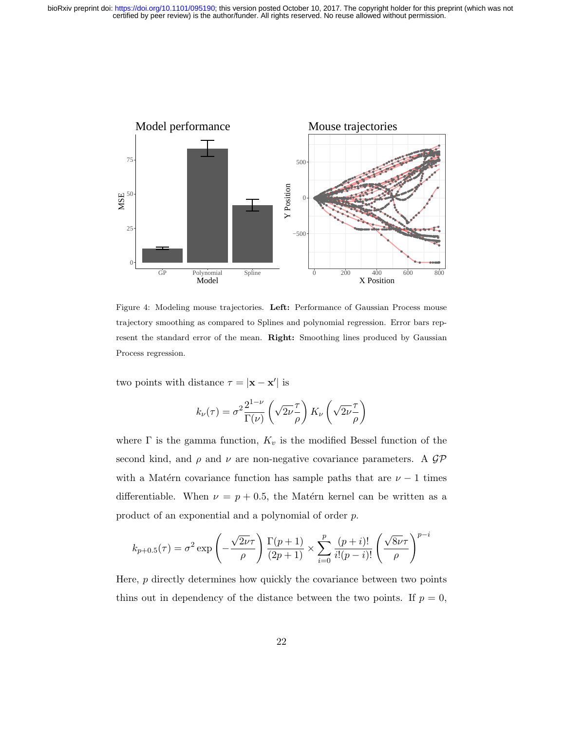

Figure 4: Modeling mouse trajectories. Left: Performance of Gaussian Process mouse trajectory smoothing as compared to Splines and polynomial regression. Error bars represent the standard error of the mean. Right: Smoothing lines produced by Gaussian Process regression.

two points with distance  $\tau = |\mathbf{x} - \mathbf{x}'|$  is

$$
k_{\nu}(\tau) = \sigma^2 \frac{2^{1-\nu}}{\Gamma(\nu)} \left(\sqrt{2\nu}\frac{\tau}{\rho}\right) K_{\nu} \left(\sqrt{2\nu}\frac{\tau}{\rho}\right)
$$

where  $\Gamma$  is the gamma function,  $K_v$  is the modified Bessel function of the second kind, and  $\rho$  and  $\nu$  are non-negative covariance parameters. A GP with a Matérn covariance function has sample paths that are  $\nu - 1$  times differentiable. When  $\nu = p + 0.5$ , the Matérn kernel can be written as a product of an exponential and a polynomial of order p.

$$
k_{p+0.5}(\tau) = \sigma^2 \exp\left(-\frac{\sqrt{2\nu}\tau}{\rho}\right) \frac{\Gamma(p+1)}{(2p+1)} \times \sum_{i=0}^p \frac{(p+i)!}{i!(p-i)!} \left(\frac{\sqrt{8\nu}\tau}{\rho}\right)^{p-i}
$$

Here, p directly determines how quickly the covariance between two points thins out in dependency of the distance between the two points. If  $p = 0$ ,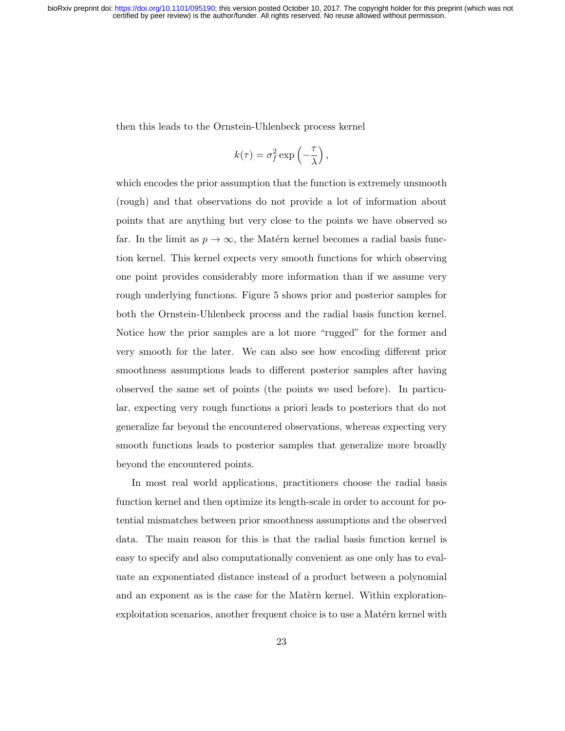then this leads to the Ornstein-Uhlenbeck process kernel

$$
k(\tau) = \sigma_f^2 \exp\left(-\frac{\tau}{\lambda}\right),\,
$$

which encodes the prior assumption that the function is extremely unsmooth (rough) and that observations do not provide a lot of information about points that are anything but very close to the points we have observed so far. In the limit as  $p \to \infty$ , the Matérn kernel becomes a radial basis function kernel. This kernel expects very smooth functions for which observing one point provides considerably more information than if we assume very rough underlying functions. Figure 5 shows prior and posterior samples for both the Ornstein-Uhlenbeck process and the radial basis function kernel. Notice how the prior samples are a lot more "rugged" for the former and very smooth for the later. We can also see how encoding different prior smoothness assumptions leads to different posterior samples after having observed the same set of points (the points we used before). In particular, expecting very rough functions a priori leads to posteriors that do not generalize far beyond the encountered observations, whereas expecting very smooth functions leads to posterior samples that generalize more broadly beyond the encountered points.

In most real world applications, practitioners choose the radial basis function kernel and then optimize its length-scale in order to account for potential mismatches between prior smoothness assumptions and the observed data. The main reason for this is that the radial basis function kernel is easy to specify and also computationally convenient as one only has to evaluate an exponentiated distance instead of a product between a polynomial and an exponent as is the case for the Matern kernel. Within explorationexploitation scenarios, another frequent choice is to use a Matérn kernel with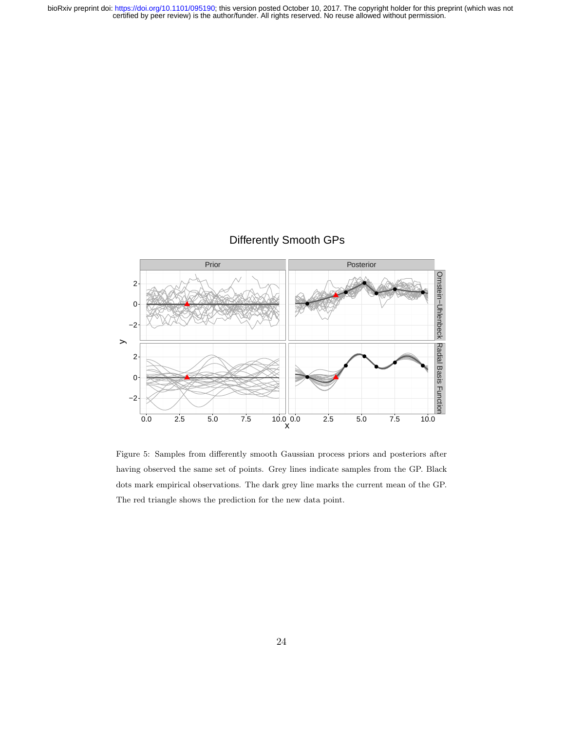# Differently Smooth GPs



Figure 5: Samples from differently smooth Gaussian process priors and posteriors after having observed the same set of points. Grey lines indicate samples from the GP. Black dots mark empirical observations. The dark grey line marks the current mean of the GP. The red triangle shows the prediction for the new data point.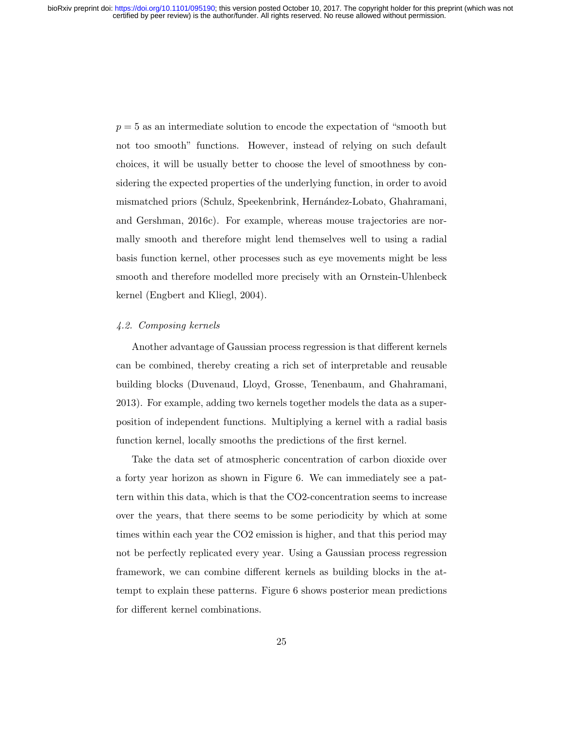$p = 5$  as an intermediate solution to encode the expectation of "smooth but not too smooth" functions. However, instead of relying on such default choices, it will be usually better to choose the level of smoothness by considering the expected properties of the underlying function, in order to avoid mismatched priors (Schulz, Speekenbrink, Hernández-Lobato, Ghahramani, and Gershman, 2016c). For example, whereas mouse trajectories are normally smooth and therefore might lend themselves well to using a radial basis function kernel, other processes such as eye movements might be less smooth and therefore modelled more precisely with an Ornstein-Uhlenbeck kernel (Engbert and Kliegl, 2004).

### 4.2. Composing kernels

Another advantage of Gaussian process regression is that different kernels can be combined, thereby creating a rich set of interpretable and reusable building blocks (Duvenaud, Lloyd, Grosse, Tenenbaum, and Ghahramani, 2013). For example, adding two kernels together models the data as a superposition of independent functions. Multiplying a kernel with a radial basis function kernel, locally smooths the predictions of the first kernel.

Take the data set of atmospheric concentration of carbon dioxide over a forty year horizon as shown in Figure 6. We can immediately see a pattern within this data, which is that the CO2-concentration seems to increase over the years, that there seems to be some periodicity by which at some times within each year the CO2 emission is higher, and that this period may not be perfectly replicated every year. Using a Gaussian process regression framework, we can combine different kernels as building blocks in the attempt to explain these patterns. Figure 6 shows posterior mean predictions for different kernel combinations.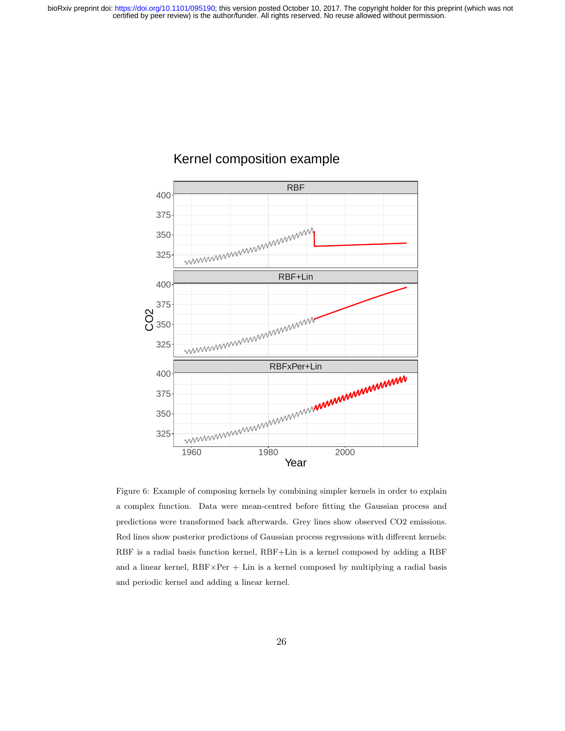

# Kernel composition example

Figure 6: Example of composing kernels by combining simpler kernels in order to explain a complex function. Data were mean-centred before fitting the Gaussian process and predictions were transformed back afterwards. Grey lines show observed CO2 emissions. Red lines show posterior predictions of Gaussian process regressions with different kernels: RBF is a radial basis function kernel, RBF+Lin is a kernel composed by adding a RBF and a linear kernel,  $RBF\times Per + Lin$  is a kernel composed by multiplying a radial basis and periodic kernel and adding a linear kernel.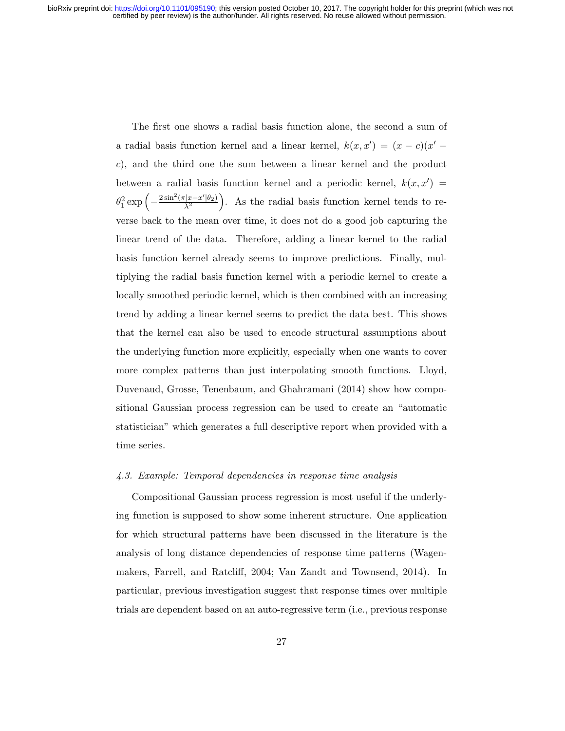The first one shows a radial basis function alone, the second a sum of a radial basis function kernel and a linear kernel,  $k(x, x') = (x - c)(x' - c)$ c), and the third one the sum between a linear kernel and the product between a radial basis function kernel and a periodic kernel,  $k(x, x') =$  $\theta_1^2 \exp\left(-\frac{2\sin^2(\pi |x-x'| \theta_2)}{\lambda^2}\right)$  $\frac{|x-x'|\theta_2}{\lambda^2}$ . As the radial basis function kernel tends to reverse back to the mean over time, it does not do a good job capturing the linear trend of the data. Therefore, adding a linear kernel to the radial basis function kernel already seems to improve predictions. Finally, multiplying the radial basis function kernel with a periodic kernel to create a locally smoothed periodic kernel, which is then combined with an increasing trend by adding a linear kernel seems to predict the data best. This shows that the kernel can also be used to encode structural assumptions about the underlying function more explicitly, especially when one wants to cover more complex patterns than just interpolating smooth functions. Lloyd, Duvenaud, Grosse, Tenenbaum, and Ghahramani (2014) show how compositional Gaussian process regression can be used to create an "automatic statistician" which generates a full descriptive report when provided with a time series.

#### 4.3. Example: Temporal dependencies in response time analysis

Compositional Gaussian process regression is most useful if the underlying function is supposed to show some inherent structure. One application for which structural patterns have been discussed in the literature is the analysis of long distance dependencies of response time patterns (Wagenmakers, Farrell, and Ratcliff, 2004; Van Zandt and Townsend, 2014). In particular, previous investigation suggest that response times over multiple trials are dependent based on an auto-regressive term (i.e., previous response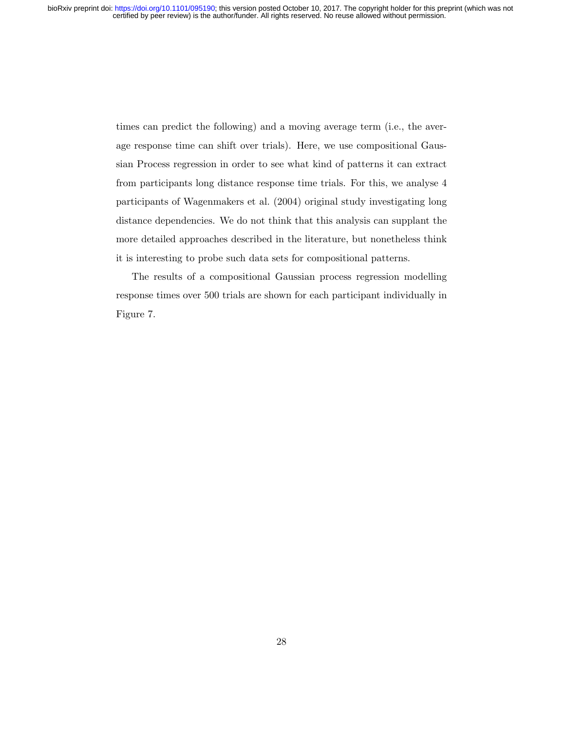times can predict the following) and a moving average term (i.e., the average response time can shift over trials). Here, we use compositional Gaussian Process regression in order to see what kind of patterns it can extract from participants long distance response time trials. For this, we analyse 4 participants of Wagenmakers et al. (2004) original study investigating long distance dependencies. We do not think that this analysis can supplant the more detailed approaches described in the literature, but nonetheless think it is interesting to probe such data sets for compositional patterns.

The results of a compositional Gaussian process regression modelling response times over 500 trials are shown for each participant individually in Figure 7.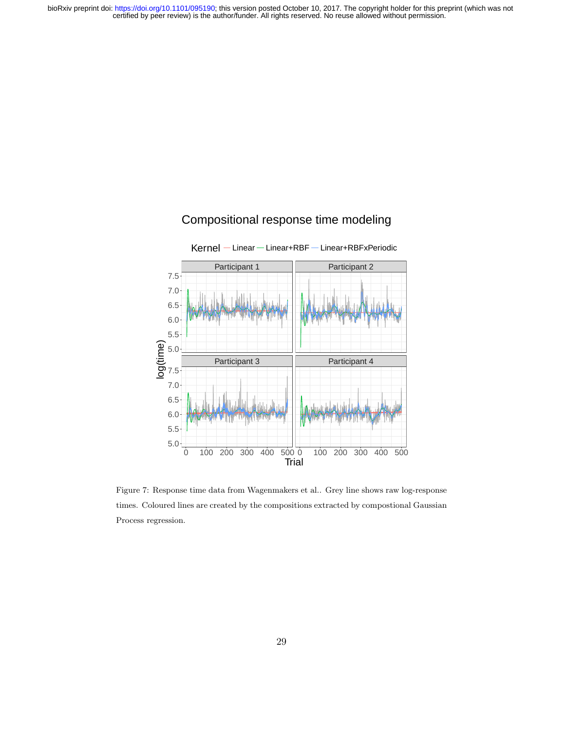

# Compositional response time modeling

Figure 7: Response time data from Wagenmakers et al.. Grey line shows raw log-response times. Coloured lines are created by the compositions extracted by compostional Gaussian Process regression.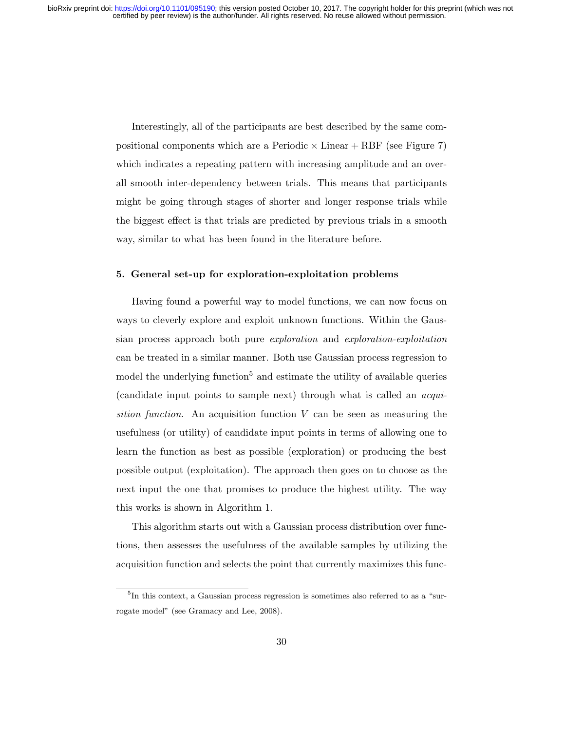Interestingly, all of the participants are best described by the same compositional components which are a Periodic  $\times$  Linear + RBF (see Figure 7) which indicates a repeating pattern with increasing amplitude and an overall smooth inter-dependency between trials. This means that participants might be going through stages of shorter and longer response trials while the biggest effect is that trials are predicted by previous trials in a smooth way, similar to what has been found in the literature before.

#### 5. General set-up for exploration-exploitation problems

Having found a powerful way to model functions, we can now focus on ways to cleverly explore and exploit unknown functions. Within the Gaussian process approach both pure exploration and exploration-exploitation can be treated in a similar manner. Both use Gaussian process regression to model the underlying function<sup>5</sup> and estimate the utility of available queries (candidate input points to sample next) through what is called an acquisition function. An acquisition function  $V$  can be seen as measuring the usefulness (or utility) of candidate input points in terms of allowing one to learn the function as best as possible (exploration) or producing the best possible output (exploitation). The approach then goes on to choose as the next input the one that promises to produce the highest utility. The way this works is shown in Algorithm 1.

This algorithm starts out with a Gaussian process distribution over functions, then assesses the usefulness of the available samples by utilizing the acquisition function and selects the point that currently maximizes this func-

<sup>&</sup>lt;sup>5</sup>In this context, a Gaussian process regression is sometimes also referred to as a "surrogate model" (see Gramacy and Lee, 2008).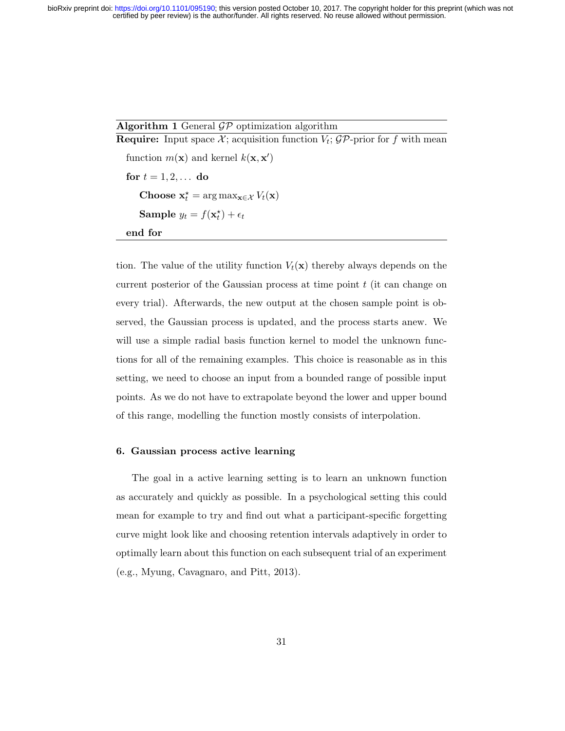# Algorithm 1 General  $\mathcal{GP}$  optimization algorithm

**Require:** Input space  $\mathcal{X}$ ; acquisition function  $V_t$ ;  $\mathcal{GP}$ -prior for f with mean function  $m(\mathbf{x})$  and kernel  $k(\mathbf{x}, \mathbf{x}')$ for  $t = 1, 2, ...$  do Choose  $\mathbf{x}_t^* = \arg \max_{\mathbf{x} \in \mathcal{X}} V_t(\mathbf{x})$ Sample  $y_t = f(\mathbf{x}_t^{\star}) + \epsilon_t$ end for

tion. The value of the utility function  $V_t(\mathbf{x})$  thereby always depends on the current posterior of the Gaussian process at time point  $t$  (it can change on every trial). Afterwards, the new output at the chosen sample point is observed, the Gaussian process is updated, and the process starts anew. We will use a simple radial basis function kernel to model the unknown functions for all of the remaining examples. This choice is reasonable as in this setting, we need to choose an input from a bounded range of possible input points. As we do not have to extrapolate beyond the lower and upper bound of this range, modelling the function mostly consists of interpolation.

# 6. Gaussian process active learning

The goal in a active learning setting is to learn an unknown function as accurately and quickly as possible. In a psychological setting this could mean for example to try and find out what a participant-specific forgetting curve might look like and choosing retention intervals adaptively in order to optimally learn about this function on each subsequent trial of an experiment (e.g., Myung, Cavagnaro, and Pitt, 2013).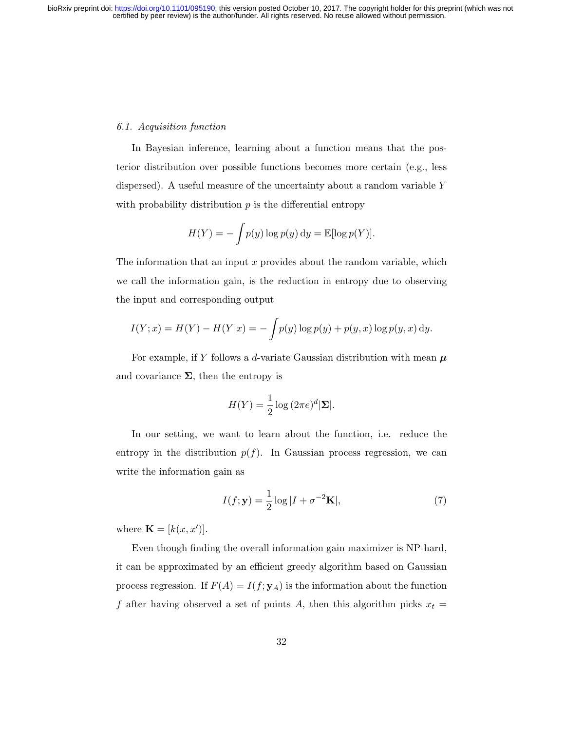### 6.1. Acquisition function

In Bayesian inference, learning about a function means that the posterior distribution over possible functions becomes more certain (e.g., less dispersed). A useful measure of the uncertainty about a random variable Y with probability distribution  $p$  is the differential entropy

$$
H(Y) = -\int p(y) \log p(y) \, dy = \mathbb{E}[\log p(Y)].
$$

The information that an input  $x$  provides about the random variable, which we call the information gain, is the reduction in entropy due to observing the input and corresponding output

$$
I(Y; x) = H(Y) - H(Y|x) = -\int p(y) \log p(y) + p(y, x) \log p(y, x) \, dy.
$$

For example, if Y follows a d-variate Gaussian distribution with mean  $\mu$ and covariance  $\Sigma$ , then the entropy is

$$
H(Y) = \frac{1}{2} \log (2\pi e)^d |\mathbf{\Sigma}|.
$$

In our setting, we want to learn about the function, i.e. reduce the entropy in the distribution  $p(f)$ . In Gaussian process regression, we can write the information gain as

$$
I(f; \mathbf{y}) = \frac{1}{2} \log |I + \sigma^{-2} \mathbf{K}|,
$$
\n(7)

where  $\mathbf{K} = [k(x, x')]$ .

Even though finding the overall information gain maximizer is NP-hard, it can be approximated by an efficient greedy algorithm based on Gaussian process regression. If  $F(A) = I(f; y_A)$  is the information about the function f after having observed a set of points A, then this algorithm picks  $x_t =$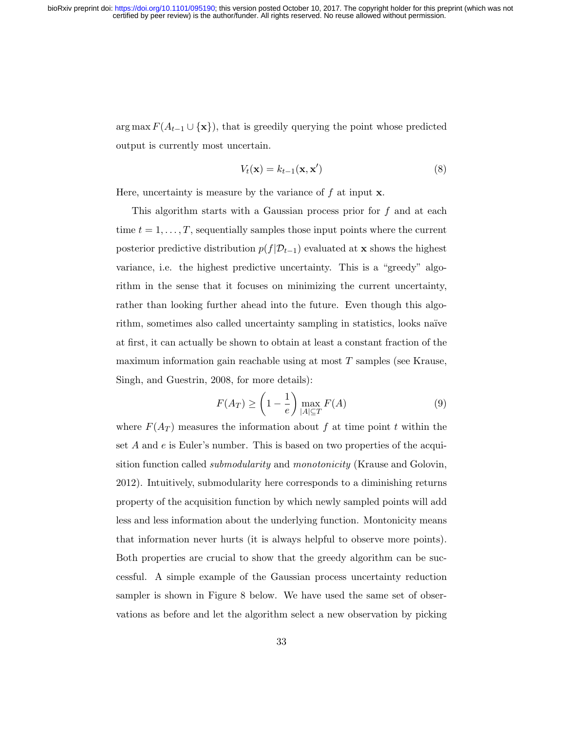arg max  $F(A_{t-1} \cup {\bf{x}})$ , that is greedily querying the point whose predicted output is currently most uncertain.

$$
V_t(\mathbf{x}) = k_{t-1}(\mathbf{x}, \mathbf{x}') \tag{8}
$$

Here, uncertainty is measure by the variance of  $f$  at input  $x$ .

This algorithm starts with a Gaussian process prior for  $f$  and at each time  $t = 1, \ldots, T$ , sequentially samples those input points where the current posterior predictive distribution  $p(f|\mathcal{D}_{t-1})$  evaluated at **x** shows the highest variance, i.e. the highest predictive uncertainty. This is a "greedy" algorithm in the sense that it focuses on minimizing the current uncertainty, rather than looking further ahead into the future. Even though this algorithm, sometimes also called uncertainty sampling in statistics, looks naïve at first, it can actually be shown to obtain at least a constant fraction of the maximum information gain reachable using at most  $T$  samples (see Krause, Singh, and Guestrin, 2008, for more details):

$$
F(A_T) \ge \left(1 - \frac{1}{e}\right) \max_{|A| \subseteq T} F(A) \tag{9}
$$

where  $F(A_T)$  measures the information about f at time point t within the set  $A$  and  $e$  is Euler's number. This is based on two properties of the acquisition function called submodularity and monotonicity (Krause and Golovin, 2012). Intuitively, submodularity here corresponds to a diminishing returns property of the acquisition function by which newly sampled points will add less and less information about the underlying function. Montonicity means that information never hurts (it is always helpful to observe more points). Both properties are crucial to show that the greedy algorithm can be successful. A simple example of the Gaussian process uncertainty reduction sampler is shown in Figure 8 below. We have used the same set of observations as before and let the algorithm select a new observation by picking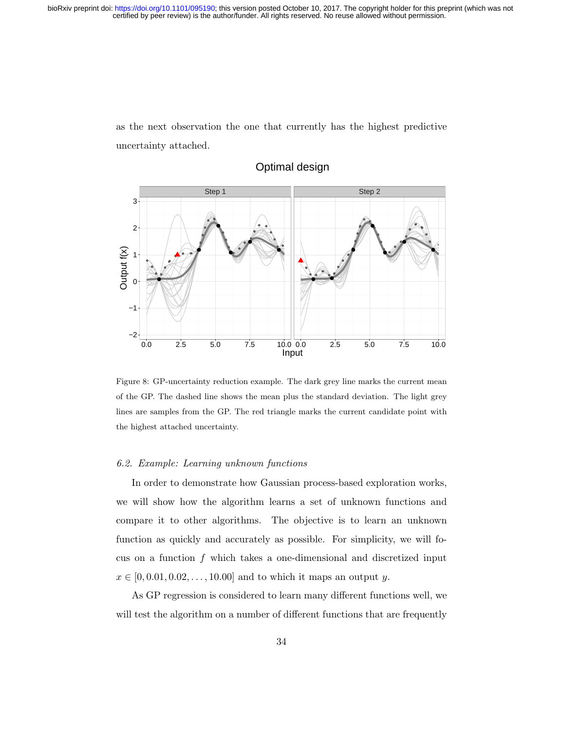as the next observation the one that currently has the highest predictive uncertainty attached.



# Optimal design

Figure 8: GP-uncertainty reduction example. The dark grey line marks the current mean of the GP. The dashed line shows the mean plus the standard deviation. The light grey lines are samples from the GP. The red triangle marks the current candidate point with the highest attached uncertainty.

### 6.2. Example: Learning unknown functions

In order to demonstrate how Gaussian process-based exploration works, we will show how the algorithm learns a set of unknown functions and compare it to other algorithms. The objective is to learn an unknown function as quickly and accurately as possible. For simplicity, we will focus on a function  $f$  which takes a one-dimensional and discretized input  $x \in [0, 0.01, 0.02, \ldots, 10.00]$  and to which it maps an output y.

As GP regression is considered to learn many different functions well, we will test the algorithm on a number of different functions that are frequently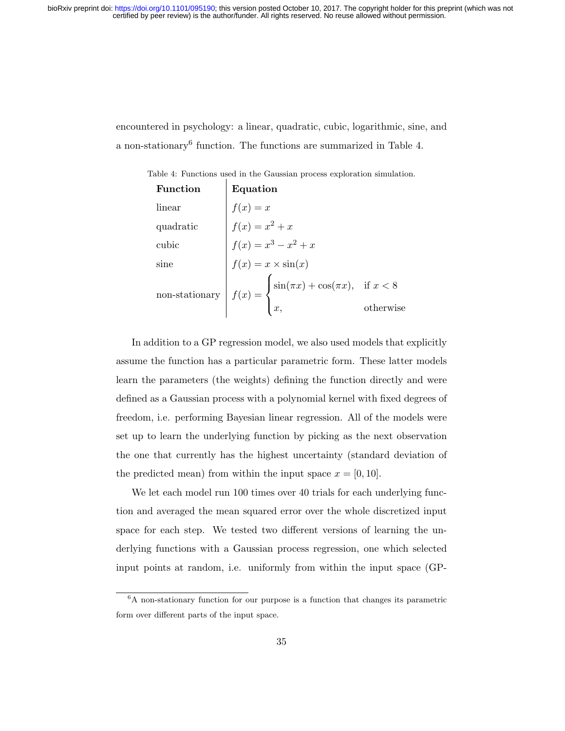encountered in psychology: a linear, quadratic, cubic, logarithmic, sine, and a non-stationary<sup>6</sup> function. The functions are summarized in Table 4.

Table 4: Functions used in the Gaussian process exploration simulation.

| <b>Function</b> | Equation                                                                                                                                                                                                                                                           |           |
|-----------------|--------------------------------------------------------------------------------------------------------------------------------------------------------------------------------------------------------------------------------------------------------------------|-----------|
|                 |                                                                                                                                                                                                                                                                    |           |
|                 |                                                                                                                                                                                                                                                                    |           |
|                 |                                                                                                                                                                                                                                                                    |           |
|                 |                                                                                                                                                                                                                                                                    |           |
|                 | Tancollinear<br>$\begin{cases}\nf(x) = x \\ f(x) = x^2 + x\n\end{cases}$<br>cubic<br>$\begin{cases}\nf(x) = x^3 - x^2 + x \\ f(x) = x \times \sin(x) \\ f(x) = \begin{cases}\n\sin(\pi x) + \cos(\pi x), & \text{if } x < 8 \\ x, & \text{otherwise}\n\end{cases}$ |           |
|                 |                                                                                                                                                                                                                                                                    | otherwise |

In addition to a GP regression model, we also used models that explicitly assume the function has a particular parametric form. These latter models learn the parameters (the weights) defining the function directly and were defined as a Gaussian process with a polynomial kernel with fixed degrees of freedom, i.e. performing Bayesian linear regression. All of the models were set up to learn the underlying function by picking as the next observation the one that currently has the highest uncertainty (standard deviation of the predicted mean) from within the input space  $x = [0, 10]$ .

We let each model run 100 times over 40 trials for each underlying function and averaged the mean squared error over the whole discretized input space for each step. We tested two different versions of learning the underlying functions with a Gaussian process regression, one which selected input points at random, i.e. uniformly from within the input space (GP-

<sup>6</sup>A non-stationary function for our purpose is a function that changes its parametric form over different parts of the input space.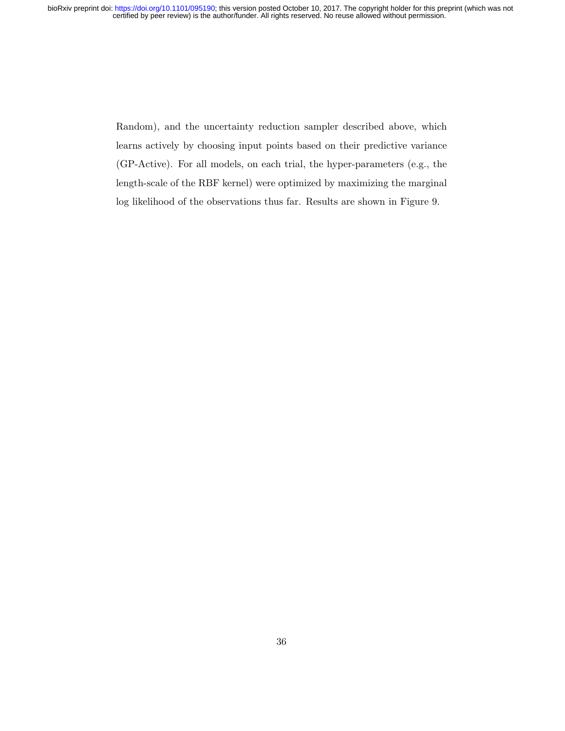> Random), and the uncertainty reduction sampler described above, which learns actively by choosing input points based on their predictive variance (GP-Active). For all models, on each trial, the hyper-parameters (e.g., the length-scale of the RBF kernel) were optimized by maximizing the marginal log likelihood of the observations thus far. Results are shown in Figure 9.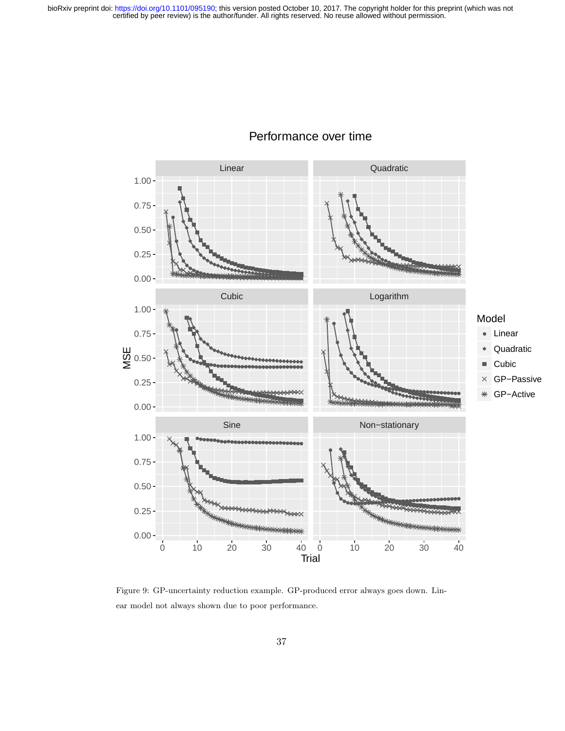

# Performance over time

Figure 9: GP-uncertainty reduction example. GP-produced error always goes down. Linear model not always shown due to poor performance.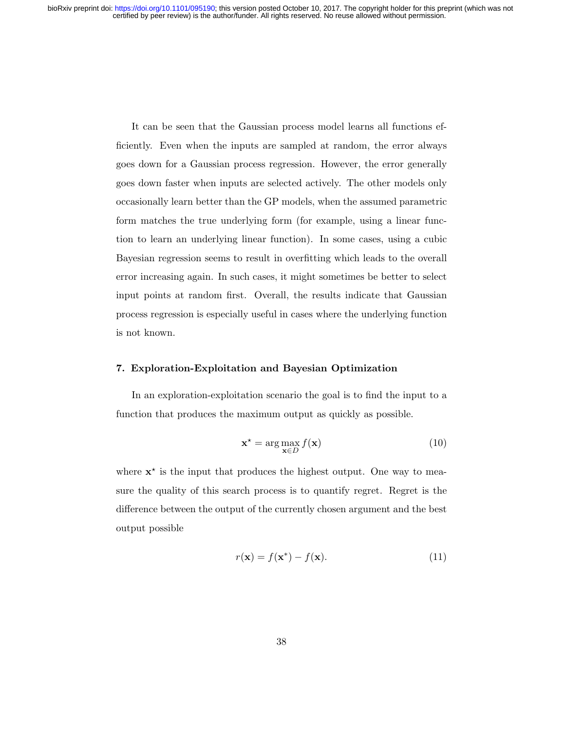It can be seen that the Gaussian process model learns all functions efficiently. Even when the inputs are sampled at random, the error always goes down for a Gaussian process regression. However, the error generally goes down faster when inputs are selected actively. The other models only occasionally learn better than the GP models, when the assumed parametric form matches the true underlying form (for example, using a linear function to learn an underlying linear function). In some cases, using a cubic Bayesian regression seems to result in overfitting which leads to the overall error increasing again. In such cases, it might sometimes be better to select input points at random first. Overall, the results indicate that Gaussian process regression is especially useful in cases where the underlying function is not known.

# 7. Exploration-Exploitation and Bayesian Optimization

In an exploration-exploitation scenario the goal is to find the input to a function that produces the maximum output as quickly as possible.

$$
\mathbf{x}^* = \arg\max_{\mathbf{x} \in D} f(\mathbf{x})
$$
 (10)

where  $x^*$  is the input that produces the highest output. One way to measure the quality of this search process is to quantify regret. Regret is the difference between the output of the currently chosen argument and the best output possible

$$
r(\mathbf{x}) = f(\mathbf{x}^*) - f(\mathbf{x}).\tag{11}
$$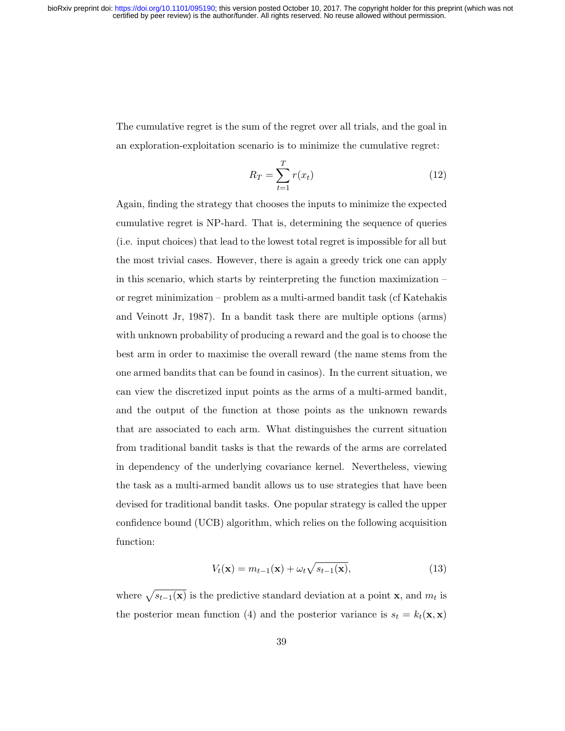The cumulative regret is the sum of the regret over all trials, and the goal in an exploration-exploitation scenario is to minimize the cumulative regret:

$$
R_T = \sum_{t=1}^T r(x_t) \tag{12}
$$

Again, finding the strategy that chooses the inputs to minimize the expected cumulative regret is NP-hard. That is, determining the sequence of queries (i.e. input choices) that lead to the lowest total regret is impossible for all but the most trivial cases. However, there is again a greedy trick one can apply in this scenario, which starts by reinterpreting the function maximization – or regret minimization – problem as a multi-armed bandit task (cf Katehakis and Veinott Jr, 1987). In a bandit task there are multiple options (arms) with unknown probability of producing a reward and the goal is to choose the best arm in order to maximise the overall reward (the name stems from the one armed bandits that can be found in casinos). In the current situation, we can view the discretized input points as the arms of a multi-armed bandit, and the output of the function at those points as the unknown rewards that are associated to each arm. What distinguishes the current situation from traditional bandit tasks is that the rewards of the arms are correlated in dependency of the underlying covariance kernel. Nevertheless, viewing the task as a multi-armed bandit allows us to use strategies that have been devised for traditional bandit tasks. One popular strategy is called the upper confidence bound (UCB) algorithm, which relies on the following acquisition function:

$$
V_t(\mathbf{x}) = m_{t-1}(\mathbf{x}) + \omega_t \sqrt{s_{t-1}(\mathbf{x})},\tag{13}
$$

where  $\sqrt{s_{t-1}(\mathbf{x})}$  is the predictive standard deviation at a point **x**, and  $m_t$  is the posterior mean function (4) and the posterior variance is  $s_t = k_t(\mathbf{x}, \mathbf{x})$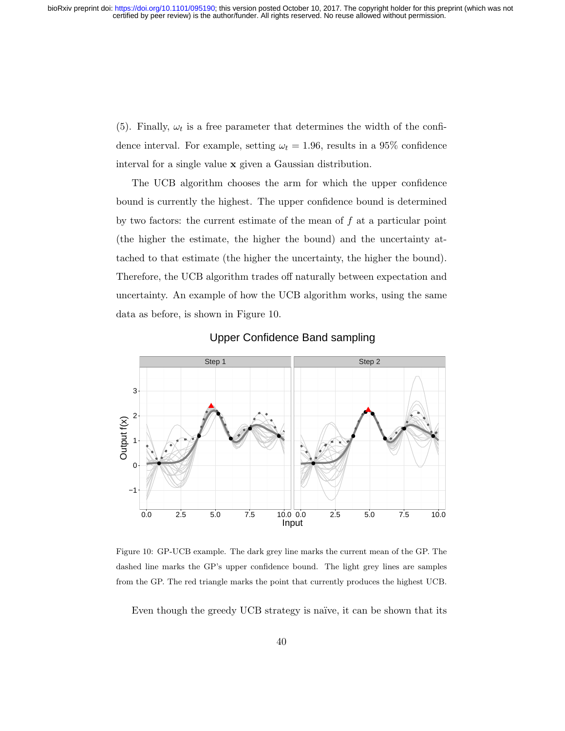(5). Finally,  $\omega_t$  is a free parameter that determines the width of the confidence interval. For example, setting  $\omega_t = 1.96$ , results in a 95% confidence interval for a single value x given a Gaussian distribution.

The UCB algorithm chooses the arm for which the upper confidence bound is currently the highest. The upper confidence bound is determined by two factors: the current estimate of the mean of  $f$  at a particular point (the higher the estimate, the higher the bound) and the uncertainty attached to that estimate (the higher the uncertainty, the higher the bound). Therefore, the UCB algorithm trades off naturally between expectation and uncertainty. An example of how the UCB algorithm works, using the same data as before, is shown in Figure 10.



Upper Confidence Band sampling

Figure 10: GP-UCB example. The dark grey line marks the current mean of the GP. The dashed line marks the GP's upper confidence bound. The light grey lines are samples from the GP. The red triangle marks the point that currently produces the highest UCB.

Even though the greedy UCB strategy is naïve, it can be shown that its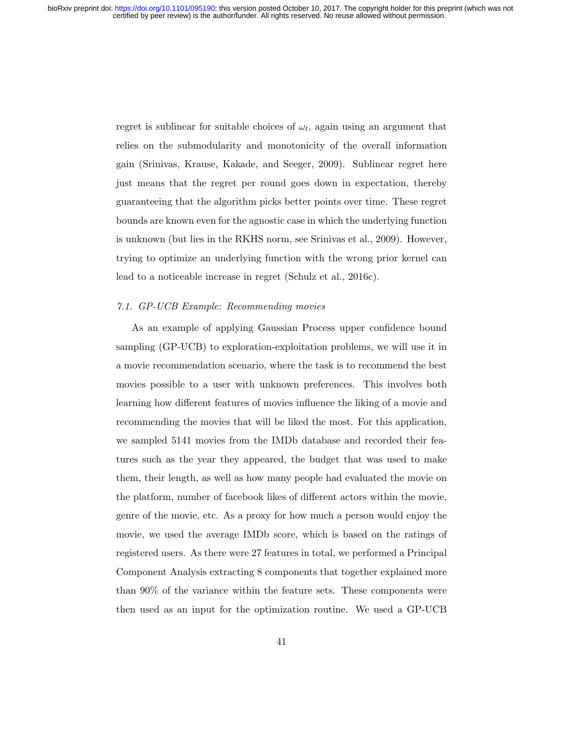regret is sublinear for suitable choices of  $\omega_t$ , again using an argument that relies on the submodularity and monotonicity of the overall information gain (Srinivas, Krause, Kakade, and Seeger, 2009). Sublinear regret here just means that the regret per round goes down in expectation, thereby guaranteeing that the algorithm picks better points over time. These regret bounds are known even for the agnostic case in which the underlying function is unknown (but lies in the RKHS norm, see Srinivas et al., 2009). However, trying to optimize an underlying function with the wrong prior kernel can lead to a noticeable increase in regret (Schulz et al., 2016c).

### 7.1. GP-UCB Example: Recommending movies

As an example of applying Gaussian Process upper confidence bound sampling (GP-UCB) to exploration-exploitation problems, we will use it in a movie recommendation scenario, where the task is to recommend the best movies possible to a user with unknown preferences. This involves both learning how different features of movies influence the liking of a movie and recommending the movies that will be liked the most. For this application, we sampled 5141 movies from the IMDb database and recorded their features such as the year they appeared, the budget that was used to make them, their length, as well as how many people had evaluated the movie on the platform, number of facebook likes of different actors within the movie, genre of the movie, etc. As a proxy for how much a person would enjoy the movie, we used the average IMDb score, which is based on the ratings of registered users. As there were 27 features in total, we performed a Principal Component Analysis extracting 8 components that together explained more than 90% of the variance within the feature sets. These components were then used as an input for the optimization routine. We used a GP-UCB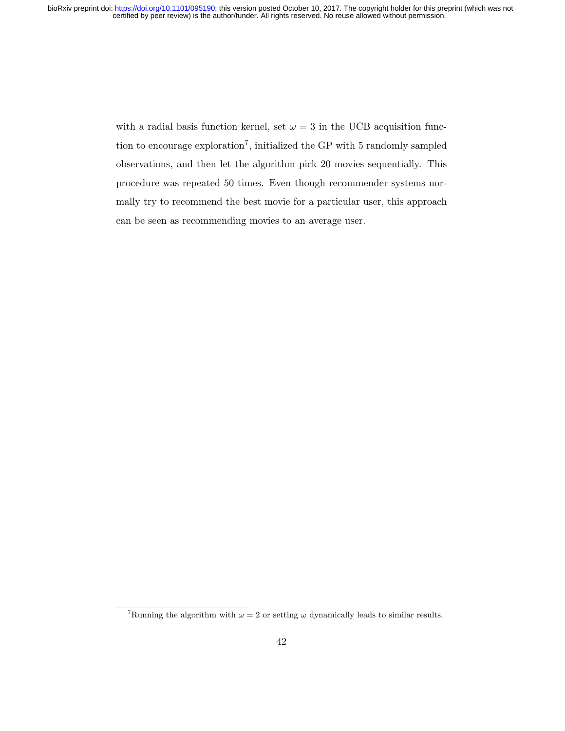with a radial basis function kernel, set  $\omega = 3$  in the UCB acquisition function to encourage exploration<sup>7</sup>, initialized the GP with 5 randomly sampled observations, and then let the algorithm pick 20 movies sequentially. This procedure was repeated 50 times. Even though recommender systems normally try to recommend the best movie for a particular user, this approach can be seen as recommending movies to an average user.

<sup>&</sup>lt;sup>7</sup>Running the algorithm with  $\omega = 2$  or setting  $\omega$  dynamically leads to similar results.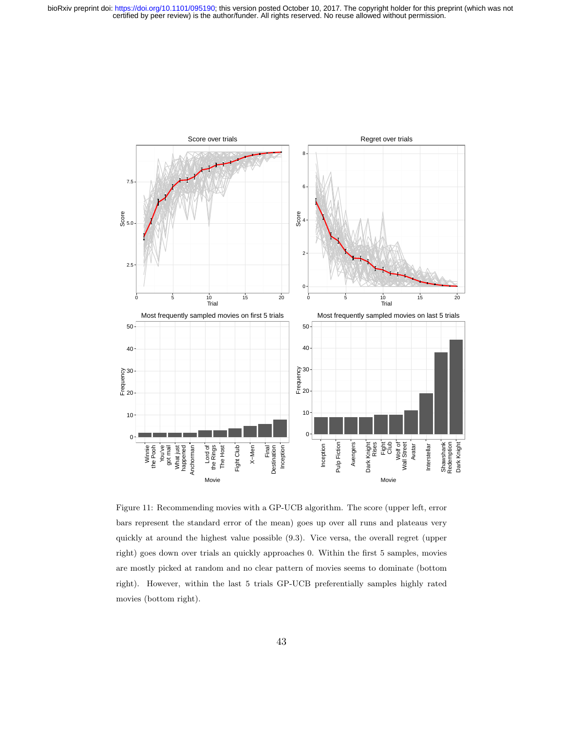

Figure 11: Recommending movies with a GP-UCB algorithm. The score (upper left, error bars represent the standard error of the mean) goes up over all runs and plateaus very quickly at around the highest value possible (9.3). Vice versa, the overall regret (upper right) goes down over trials an quickly approaches 0. Within the first 5 samples, movies are mostly picked at random and no clear pattern of movies seems to dominate (bottom right). However, within the last 5 trials GP-UCB preferentially samples highly rated movies (bottom right).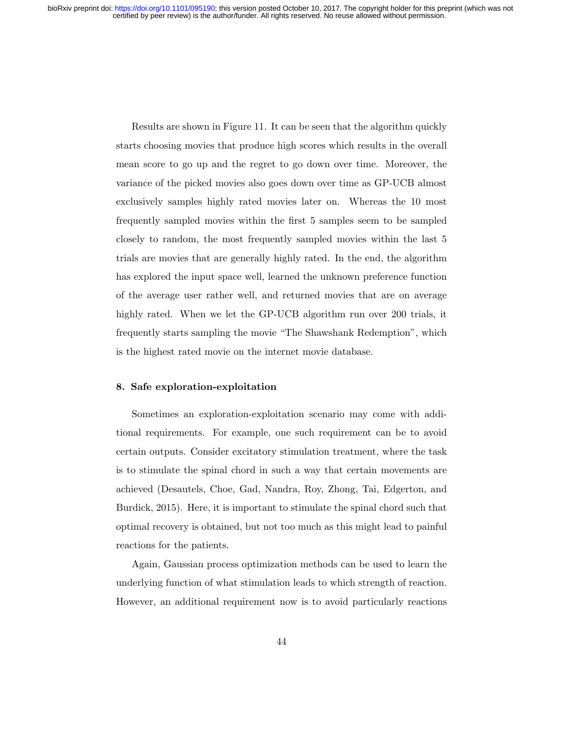Results are shown in Figure 11. It can be seen that the algorithm quickly starts choosing movies that produce high scores which results in the overall mean score to go up and the regret to go down over time. Moreover, the variance of the picked movies also goes down over time as GP-UCB almost exclusively samples highly rated movies later on. Whereas the 10 most frequently sampled movies within the first 5 samples seem to be sampled closely to random, the most frequently sampled movies within the last 5 trials are movies that are generally highly rated. In the end, the algorithm has explored the input space well, learned the unknown preference function of the average user rather well, and returned movies that are on average highly rated. When we let the GP-UCB algorithm run over 200 trials, it frequently starts sampling the movie "The Shawshank Redemption", which is the highest rated movie on the internet movie database.

### 8. Safe exploration-exploitation

Sometimes an exploration-exploitation scenario may come with additional requirements. For example, one such requirement can be to avoid certain outputs. Consider excitatory stimulation treatment, where the task is to stimulate the spinal chord in such a way that certain movements are achieved (Desautels, Choe, Gad, Nandra, Roy, Zhong, Tai, Edgerton, and Burdick, 2015). Here, it is important to stimulate the spinal chord such that optimal recovery is obtained, but not too much as this might lead to painful reactions for the patients.

Again, Gaussian process optimization methods can be used to learn the underlying function of what stimulation leads to which strength of reaction. However, an additional requirement now is to avoid particularly reactions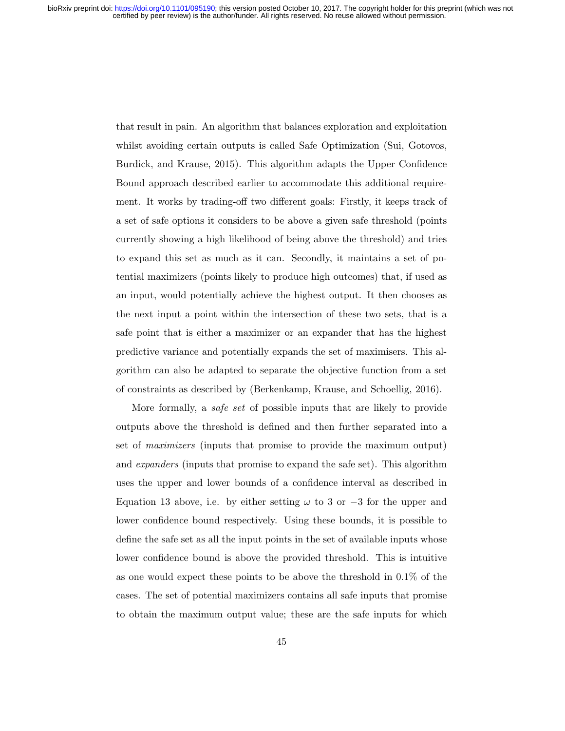that result in pain. An algorithm that balances exploration and exploitation whilst avoiding certain outputs is called Safe Optimization (Sui, Gotovos, Burdick, and Krause, 2015). This algorithm adapts the Upper Confidence Bound approach described earlier to accommodate this additional requirement. It works by trading-off two different goals: Firstly, it keeps track of a set of safe options it considers to be above a given safe threshold (points currently showing a high likelihood of being above the threshold) and tries to expand this set as much as it can. Secondly, it maintains a set of potential maximizers (points likely to produce high outcomes) that, if used as an input, would potentially achieve the highest output. It then chooses as the next input a point within the intersection of these two sets, that is a safe point that is either a maximizer or an expander that has the highest predictive variance and potentially expands the set of maximisers. This algorithm can also be adapted to separate the objective function from a set of constraints as described by (Berkenkamp, Krause, and Schoellig, 2016).

More formally, a safe set of possible inputs that are likely to provide outputs above the threshold is defined and then further separated into a set of maximizers (inputs that promise to provide the maximum output) and expanders (inputs that promise to expand the safe set). This algorithm uses the upper and lower bounds of a confidence interval as described in Equation 13 above, i.e. by either setting  $\omega$  to 3 or −3 for the upper and lower confidence bound respectively. Using these bounds, it is possible to define the safe set as all the input points in the set of available inputs whose lower confidence bound is above the provided threshold. This is intuitive as one would expect these points to be above the threshold in 0.1% of the cases. The set of potential maximizers contains all safe inputs that promise to obtain the maximum output value; these are the safe inputs for which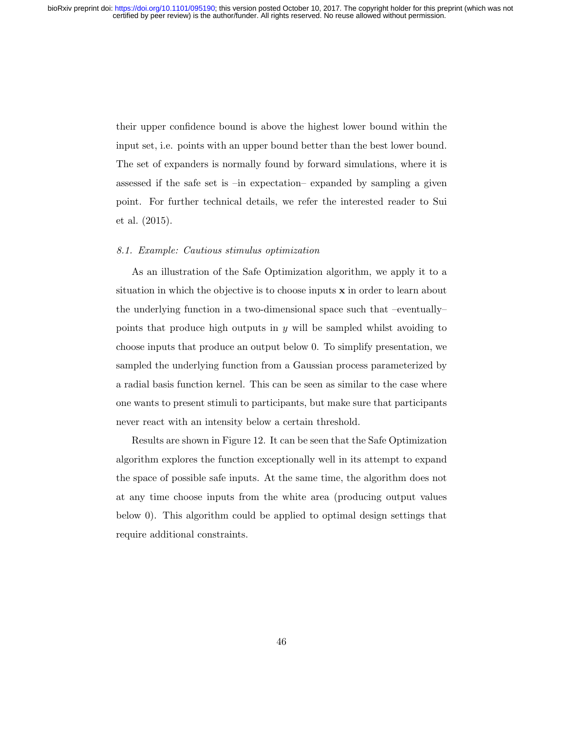their upper confidence bound is above the highest lower bound within the input set, i.e. points with an upper bound better than the best lower bound. The set of expanders is normally found by forward simulations, where it is assessed if the safe set is –in expectation– expanded by sampling a given point. For further technical details, we refer the interested reader to Sui et al. (2015).

### 8.1. Example: Cautious stimulus optimization

As an illustration of the Safe Optimization algorithm, we apply it to a situation in which the objective is to choose inputs  $x$  in order to learn about the underlying function in a two-dimensional space such that –eventually– points that produce high outputs in  $y$  will be sampled whilst avoiding to choose inputs that produce an output below 0. To simplify presentation, we sampled the underlying function from a Gaussian process parameterized by a radial basis function kernel. This can be seen as similar to the case where one wants to present stimuli to participants, but make sure that participants never react with an intensity below a certain threshold.

Results are shown in Figure 12. It can be seen that the Safe Optimization algorithm explores the function exceptionally well in its attempt to expand the space of possible safe inputs. At the same time, the algorithm does not at any time choose inputs from the white area (producing output values below 0). This algorithm could be applied to optimal design settings that require additional constraints.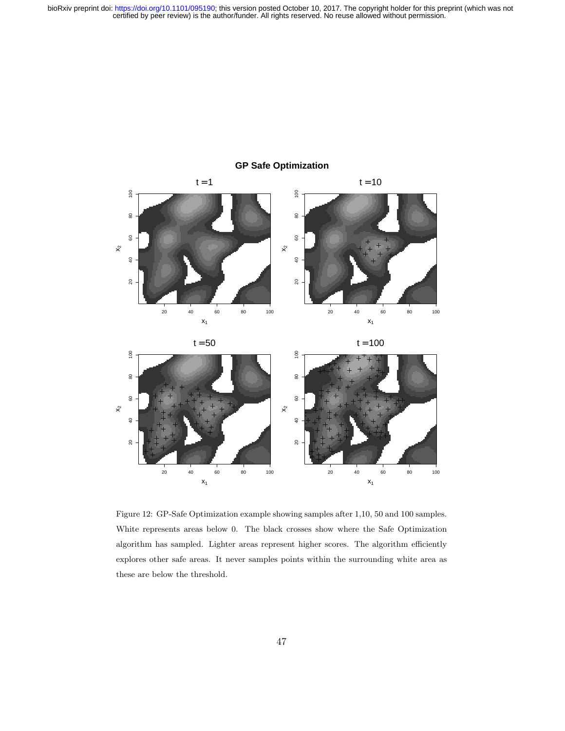

# **GP Safe Optimization**

 $\overline{a}$ č 20 40 60 80 100 20 40 60 80 100  $x_1$  $x_1$ 

Figure 12: GP-Safe Optimization example showing samples after 1,10, 50 and 100 samples. White represents areas below 0. The black crosses show where the Safe Optimization algorithm has sampled. Lighter areas represent higher scores. The algorithm efficiently explores other safe areas. It never samples points within the surrounding white area as these are below the threshold.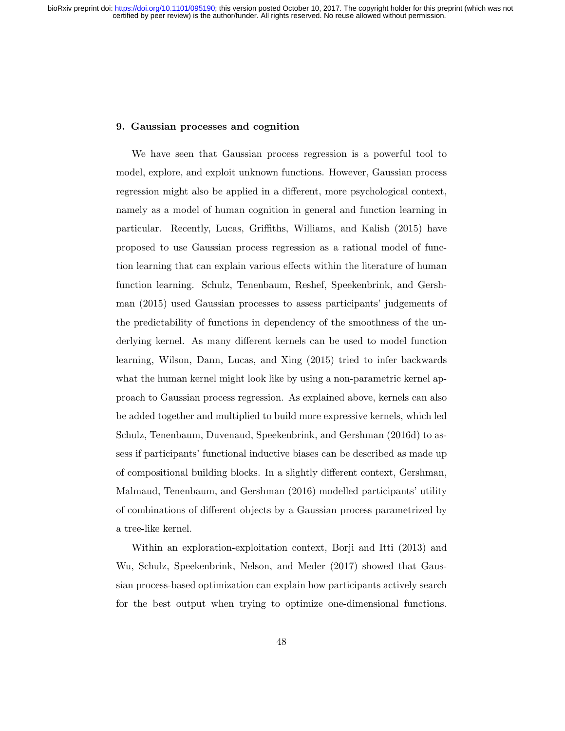### 9. Gaussian processes and cognition

We have seen that Gaussian process regression is a powerful tool to model, explore, and exploit unknown functions. However, Gaussian process regression might also be applied in a different, more psychological context, namely as a model of human cognition in general and function learning in particular. Recently, Lucas, Griffiths, Williams, and Kalish (2015) have proposed to use Gaussian process regression as a rational model of function learning that can explain various effects within the literature of human function learning. Schulz, Tenenbaum, Reshef, Speekenbrink, and Gershman (2015) used Gaussian processes to assess participants' judgements of the predictability of functions in dependency of the smoothness of the underlying kernel. As many different kernels can be used to model function learning, Wilson, Dann, Lucas, and Xing (2015) tried to infer backwards what the human kernel might look like by using a non-parametric kernel approach to Gaussian process regression. As explained above, kernels can also be added together and multiplied to build more expressive kernels, which led Schulz, Tenenbaum, Duvenaud, Speekenbrink, and Gershman (2016d) to assess if participants' functional inductive biases can be described as made up of compositional building blocks. In a slightly different context, Gershman, Malmaud, Tenenbaum, and Gershman (2016) modelled participants' utility of combinations of different objects by a Gaussian process parametrized by a tree-like kernel.

Within an exploration-exploitation context, Borji and Itti (2013) and Wu, Schulz, Speekenbrink, Nelson, and Meder (2017) showed that Gaussian process-based optimization can explain how participants actively search for the best output when trying to optimize one-dimensional functions.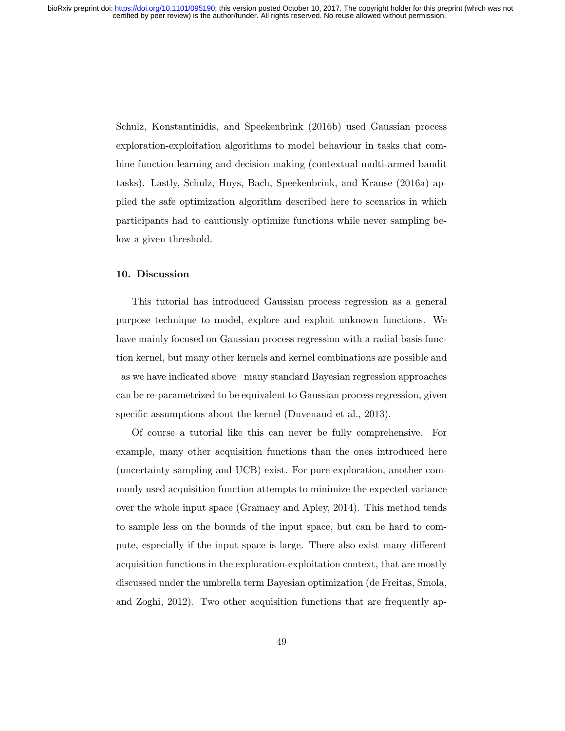Schulz, Konstantinidis, and Speekenbrink (2016b) used Gaussian process exploration-exploitation algorithms to model behaviour in tasks that combine function learning and decision making (contextual multi-armed bandit tasks). Lastly, Schulz, Huys, Bach, Speekenbrink, and Krause (2016a) applied the safe optimization algorithm described here to scenarios in which participants had to cautiously optimize functions while never sampling below a given threshold.

## 10. Discussion

This tutorial has introduced Gaussian process regression as a general purpose technique to model, explore and exploit unknown functions. We have mainly focused on Gaussian process regression with a radial basis function kernel, but many other kernels and kernel combinations are possible and –as we have indicated above– many standard Bayesian regression approaches can be re-parametrized to be equivalent to Gaussian process regression, given specific assumptions about the kernel (Duvenaud et al., 2013).

Of course a tutorial like this can never be fully comprehensive. For example, many other acquisition functions than the ones introduced here (uncertainty sampling and UCB) exist. For pure exploration, another commonly used acquisition function attempts to minimize the expected variance over the whole input space (Gramacy and Apley, 2014). This method tends to sample less on the bounds of the input space, but can be hard to compute, especially if the input space is large. There also exist many different acquisition functions in the exploration-exploitation context, that are mostly discussed under the umbrella term Bayesian optimization (de Freitas, Smola, and Zoghi, 2012). Two other acquisition functions that are frequently ap-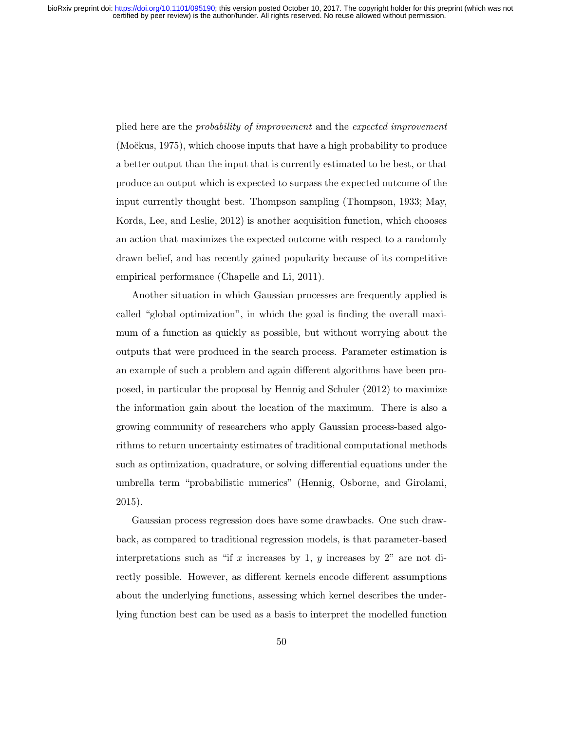plied here are the probability of improvement and the expected improvement  $(Močkus, 1975)$ , which choose inputs that have a high probability to produce a better output than the input that is currently estimated to be best, or that produce an output which is expected to surpass the expected outcome of the input currently thought best. Thompson sampling (Thompson, 1933; May, Korda, Lee, and Leslie, 2012) is another acquisition function, which chooses an action that maximizes the expected outcome with respect to a randomly drawn belief, and has recently gained popularity because of its competitive empirical performance (Chapelle and Li, 2011).

Another situation in which Gaussian processes are frequently applied is called "global optimization", in which the goal is finding the overall maximum of a function as quickly as possible, but without worrying about the outputs that were produced in the search process. Parameter estimation is an example of such a problem and again different algorithms have been proposed, in particular the proposal by Hennig and Schuler (2012) to maximize the information gain about the location of the maximum. There is also a growing community of researchers who apply Gaussian process-based algorithms to return uncertainty estimates of traditional computational methods such as optimization, quadrature, or solving differential equations under the umbrella term "probabilistic numerics" (Hennig, Osborne, and Girolami, 2015).

Gaussian process regression does have some drawbacks. One such drawback, as compared to traditional regression models, is that parameter-based interpretations such as "if x increases by 1, y increases by 2" are not directly possible. However, as different kernels encode different assumptions about the underlying functions, assessing which kernel describes the underlying function best can be used as a basis to interpret the modelled function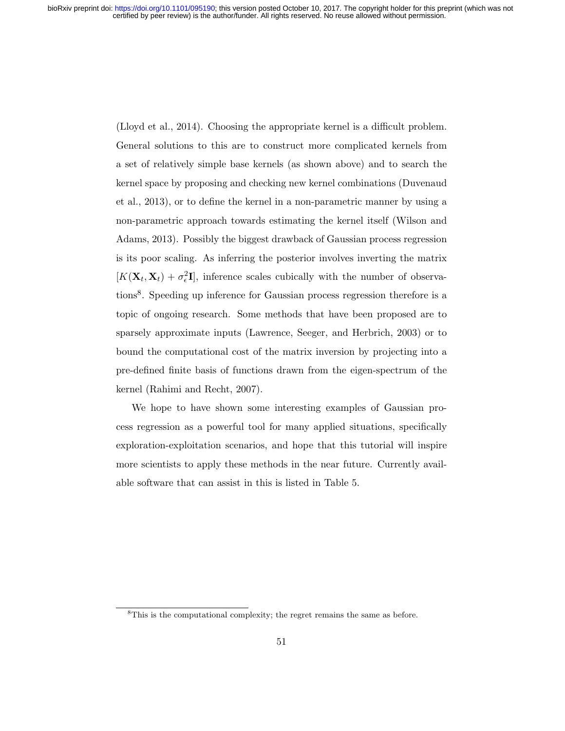(Lloyd et al., 2014). Choosing the appropriate kernel is a difficult problem. General solutions to this are to construct more complicated kernels from a set of relatively simple base kernels (as shown above) and to search the kernel space by proposing and checking new kernel combinations (Duvenaud et al., 2013), or to define the kernel in a non-parametric manner by using a non-parametric approach towards estimating the kernel itself (Wilson and Adams, 2013). Possibly the biggest drawback of Gaussian process regression is its poor scaling. As inferring the posterior involves inverting the matrix  $[K(\mathbf{X}_t, \mathbf{X}_t) + \sigma_{\epsilon}^2 \mathbf{I}]$ , inference scales cubically with the number of observations<sup>8</sup> . Speeding up inference for Gaussian process regression therefore is a topic of ongoing research. Some methods that have been proposed are to sparsely approximate inputs (Lawrence, Seeger, and Herbrich, 2003) or to bound the computational cost of the matrix inversion by projecting into a pre-defined finite basis of functions drawn from the eigen-spectrum of the kernel (Rahimi and Recht, 2007).

We hope to have shown some interesting examples of Gaussian process regression as a powerful tool for many applied situations, specifically exploration-exploitation scenarios, and hope that this tutorial will inspire more scientists to apply these methods in the near future. Currently available software that can assist in this is listed in Table 5.

<sup>8</sup>This is the computational complexity; the regret remains the same as before.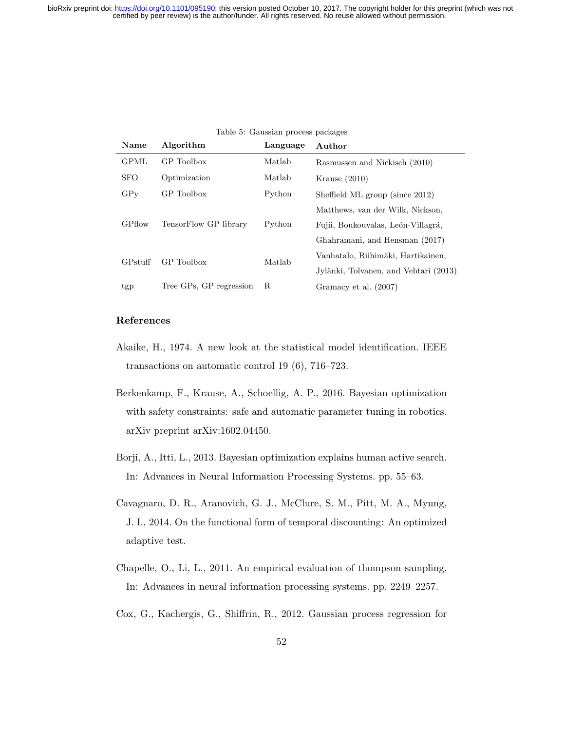| Name        | Algorithm               | Language | Author                                |
|-------------|-------------------------|----------|---------------------------------------|
| <b>GPML</b> | GP Toolbox              | Matlab   | Rasmussen and Nickisch (2010)         |
| <b>SFO</b>  | Optimization            | Matlab   | Krause $(2010)$                       |
| GPV         | GP Toolbox              | Python   | Sheffield ML group (since 2012)       |
|             |                         |          | Matthews, van der Wilk, Nickson,      |
| GPflow      | TensorFlow GP library   | Python   | Fujii, Boukouvalas, León-Villagrá,    |
|             |                         |          | Ghahramani, and Hensman (2017)        |
| GPstuff     | GP Toolbox              | Matlab   | Vanhatalo, Riihimäki, Hartikainen,    |
|             |                         |          | Jylänki, Tolvanen, and Vehtari (2013) |
| tgp         | Tree GPs, GP regression | R        | Gramacy et al. (2007)                 |

### Table 5: Gaussian process packages

# References

- Akaike, H., 1974. A new look at the statistical model identification. IEEE transactions on automatic control 19 (6), 716–723.
- Berkenkamp, F., Krause, A., Schoellig, A. P., 2016. Bayesian optimization with safety constraints: safe and automatic parameter tuning in robotics. arXiv preprint arXiv:1602.04450.
- Borji, A., Itti, L., 2013. Bayesian optimization explains human active search. In: Advances in Neural Information Processing Systems. pp. 55–63.
- Cavagnaro, D. R., Aranovich, G. J., McClure, S. M., Pitt, M. A., Myung, J. I., 2014. On the functional form of temporal discounting: An optimized adaptive test.
- Chapelle, O., Li, L., 2011. An empirical evaluation of thompson sampling. In: Advances in neural information processing systems. pp. 2249–2257.
- Cox, G., Kachergis, G., Shiffrin, R., 2012. Gaussian process regression for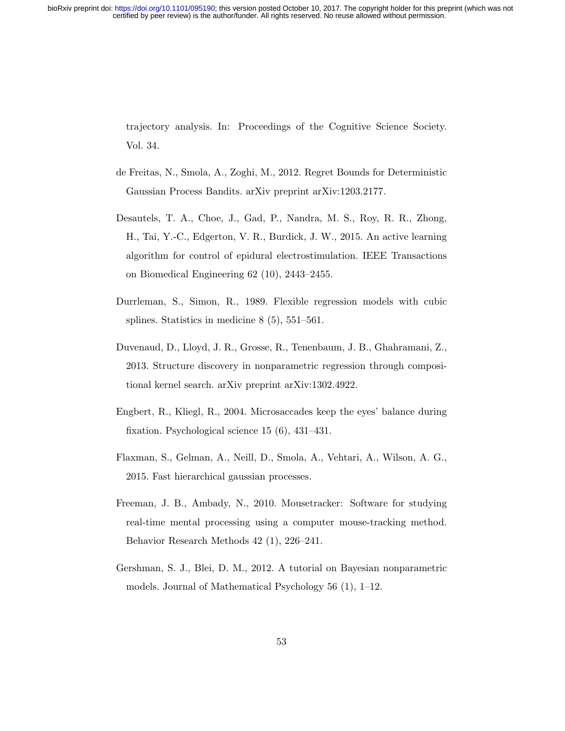trajectory analysis. In: Proceedings of the Cognitive Science Society. Vol. 34.

- de Freitas, N., Smola, A., Zoghi, M., 2012. Regret Bounds for Deterministic Gaussian Process Bandits. arXiv preprint arXiv:1203.2177.
- Desautels, T. A., Choe, J., Gad, P., Nandra, M. S., Roy, R. R., Zhong, H., Tai, Y.-C., Edgerton, V. R., Burdick, J. W., 2015. An active learning algorithm for control of epidural electrostimulation. IEEE Transactions on Biomedical Engineering 62 (10), 2443–2455.
- Durrleman, S., Simon, R., 1989. Flexible regression models with cubic splines. Statistics in medicine 8 (5), 551–561.
- Duvenaud, D., Lloyd, J. R., Grosse, R., Tenenbaum, J. B., Ghahramani, Z., 2013. Structure discovery in nonparametric regression through compositional kernel search. arXiv preprint arXiv:1302.4922.
- Engbert, R., Kliegl, R., 2004. Microsaccades keep the eyes' balance during fixation. Psychological science 15 (6), 431–431.
- Flaxman, S., Gelman, A., Neill, D., Smola, A., Vehtari, A., Wilson, A. G., 2015. Fast hierarchical gaussian processes.
- Freeman, J. B., Ambady, N., 2010. Mousetracker: Software for studying real-time mental processing using a computer mouse-tracking method. Behavior Research Methods 42 (1), 226–241.
- Gershman, S. J., Blei, D. M., 2012. A tutorial on Bayesian nonparametric models. Journal of Mathematical Psychology 56 (1), 1–12.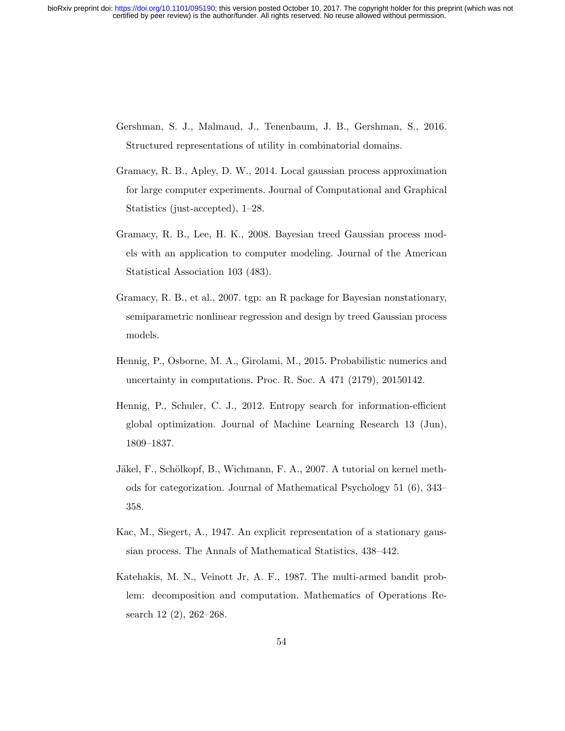- Gershman, S. J., Malmaud, J., Tenenbaum, J. B., Gershman, S., 2016. Structured representations of utility in combinatorial domains.
- Gramacy, R. B., Apley, D. W., 2014. Local gaussian process approximation for large computer experiments. Journal of Computational and Graphical Statistics (just-accepted), 1–28.
- Gramacy, R. B., Lee, H. K., 2008. Bayesian treed Gaussian process models with an application to computer modeling. Journal of the American Statistical Association 103 (483).
- Gramacy, R. B., et al., 2007. tgp: an R package for Bayesian nonstationary, semiparametric nonlinear regression and design by treed Gaussian process models.
- Hennig, P., Osborne, M. A., Girolami, M., 2015. Probabilistic numerics and uncertainty in computations. Proc. R. Soc. A 471 (2179), 20150142.
- Hennig, P., Schuler, C. J., 2012. Entropy search for information-efficient global optimization. Journal of Machine Learning Research 13 (Jun), 1809–1837.
- Jäkel, F., Schölkopf, B., Wichmann, F. A., 2007. A tutorial on kernel methods for categorization. Journal of Mathematical Psychology 51 (6), 343– 358.
- Kac, M., Siegert, A., 1947. An explicit representation of a stationary gaussian process. The Annals of Mathematical Statistics, 438–442.
- Katehakis, M. N., Veinott Jr, A. F., 1987. The multi-armed bandit problem: decomposition and computation. Mathematics of Operations Research 12 (2), 262–268.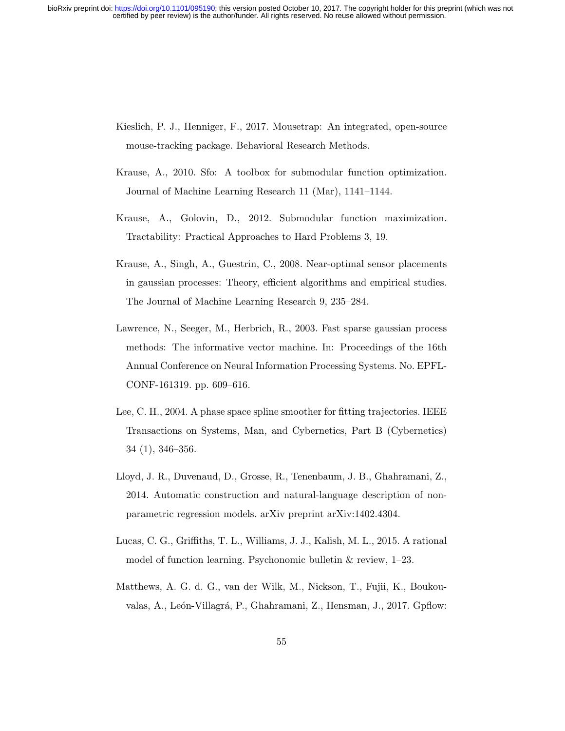- Kieslich, P. J., Henniger, F., 2017. Mousetrap: An integrated, open-source mouse-tracking package. Behavioral Research Methods.
- Krause, A., 2010. Sfo: A toolbox for submodular function optimization. Journal of Machine Learning Research 11 (Mar), 1141–1144.
- Krause, A., Golovin, D., 2012. Submodular function maximization. Tractability: Practical Approaches to Hard Problems 3, 19.
- Krause, A., Singh, A., Guestrin, C., 2008. Near-optimal sensor placements in gaussian processes: Theory, efficient algorithms and empirical studies. The Journal of Machine Learning Research 9, 235–284.
- Lawrence, N., Seeger, M., Herbrich, R., 2003. Fast sparse gaussian process methods: The informative vector machine. In: Proceedings of the 16th Annual Conference on Neural Information Processing Systems. No. EPFL-CONF-161319. pp. 609–616.
- Lee, C. H., 2004. A phase space spline smoother for fitting trajectories. IEEE Transactions on Systems, Man, and Cybernetics, Part B (Cybernetics) 34 (1), 346–356.
- Lloyd, J. R., Duvenaud, D., Grosse, R., Tenenbaum, J. B., Ghahramani, Z., 2014. Automatic construction and natural-language description of nonparametric regression models. arXiv preprint arXiv:1402.4304.
- Lucas, C. G., Griffiths, T. L., Williams, J. J., Kalish, M. L., 2015. A rational model of function learning. Psychonomic bulletin & review, 1–23.
- Matthews, A. G. d. G., van der Wilk, M., Nickson, T., Fujii, K., Boukouvalas, A., León-Villagrá, P., Ghahramani, Z., Hensman, J., 2017. Gpflow: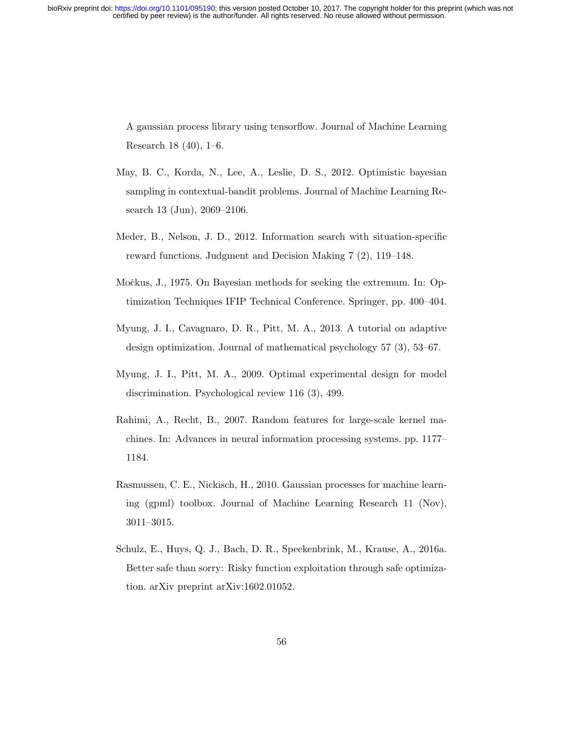A gaussian process library using tensorflow. Journal of Machine Learning Research 18 (40), 1–6.

- May, B. C., Korda, N., Lee, A., Leslie, D. S., 2012. Optimistic bayesian sampling in contextual-bandit problems. Journal of Machine Learning Research 13 (Jun), 2069–2106.
- Meder, B., Nelson, J. D., 2012. Information search with situation-specific reward functions. Judgment and Decision Making 7 (2), 119–148.
- Močkus, J., 1975. On Bayesian methods for seeking the extremum. In: Optimization Techniques IFIP Technical Conference. Springer, pp. 400–404.
- Myung, J. I., Cavagnaro, D. R., Pitt, M. A., 2013. A tutorial on adaptive design optimization. Journal of mathematical psychology 57 (3), 53–67.
- Myung, J. I., Pitt, M. A., 2009. Optimal experimental design for model discrimination. Psychological review 116 (3), 499.
- Rahimi, A., Recht, B., 2007. Random features for large-scale kernel machines. In: Advances in neural information processing systems. pp. 1177– 1184.
- Rasmussen, C. E., Nickisch, H., 2010. Gaussian processes for machine learning (gpml) toolbox. Journal of Machine Learning Research 11 (Nov), 3011–3015.
- Schulz, E., Huys, Q. J., Bach, D. R., Speekenbrink, M., Krause, A., 2016a. Better safe than sorry: Risky function exploitation through safe optimization. arXiv preprint arXiv:1602.01052.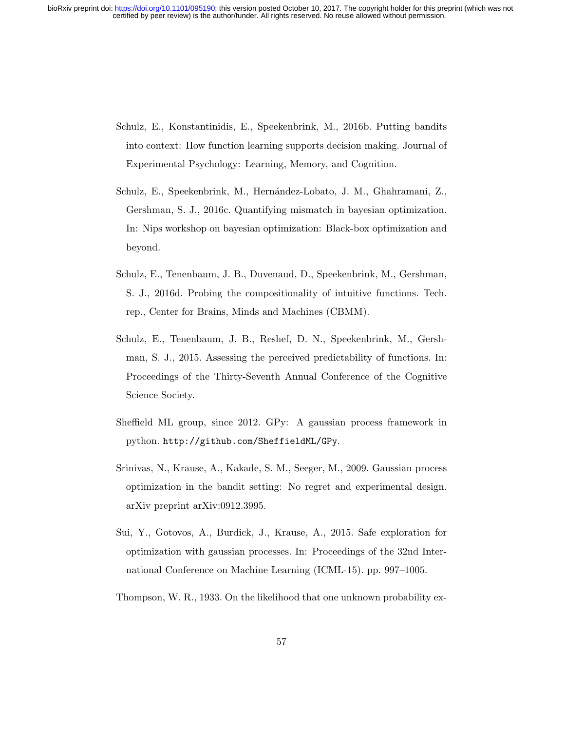- Schulz, E., Konstantinidis, E., Speekenbrink, M., 2016b. Putting bandits into context: How function learning supports decision making. Journal of Experimental Psychology: Learning, Memory, and Cognition.
- Schulz, E., Speekenbrink, M., Hernández-Lobato, J. M., Ghahramani, Z., Gershman, S. J., 2016c. Quantifying mismatch in bayesian optimization. In: Nips workshop on bayesian optimization: Black-box optimization and beyond.
- Schulz, E., Tenenbaum, J. B., Duvenaud, D., Speekenbrink, M., Gershman, S. J., 2016d. Probing the compositionality of intuitive functions. Tech. rep., Center for Brains, Minds and Machines (CBMM).
- Schulz, E., Tenenbaum, J. B., Reshef, D. N., Speekenbrink, M., Gershman, S. J., 2015. Assessing the perceived predictability of functions. In: Proceedings of the Thirty-Seventh Annual Conference of the Cognitive Science Society.
- Sheffield ML group, since 2012. GPy: A gaussian process framework in python. http://github.com/SheffieldML/GPy.
- Srinivas, N., Krause, A., Kakade, S. M., Seeger, M., 2009. Gaussian process optimization in the bandit setting: No regret and experimental design. arXiv preprint arXiv:0912.3995.
- Sui, Y., Gotovos, A., Burdick, J., Krause, A., 2015. Safe exploration for optimization with gaussian processes. In: Proceedings of the 32nd International Conference on Machine Learning (ICML-15). pp. 997–1005.
- Thompson, W. R., 1933. On the likelihood that one unknown probability ex-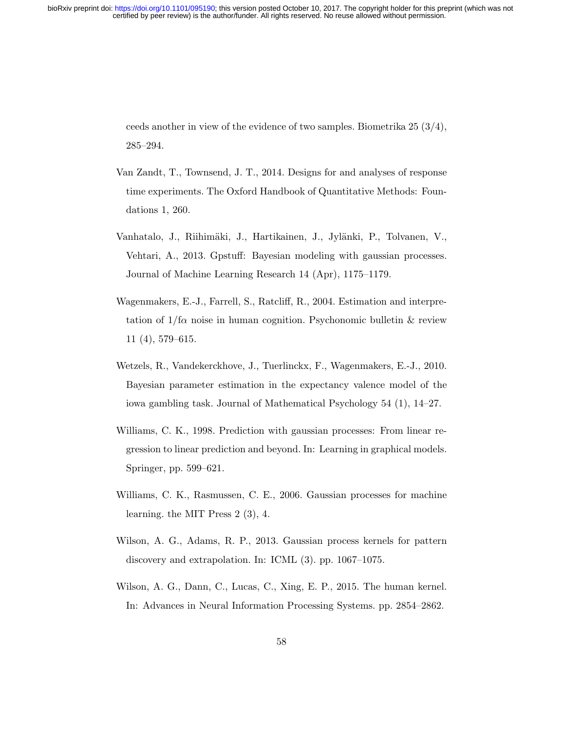ceeds another in view of the evidence of two samples. Biometrika 25 (3/4), 285–294.

- Van Zandt, T., Townsend, J. T., 2014. Designs for and analyses of response time experiments. The Oxford Handbook of Quantitative Methods: Foundations 1, 260.
- Vanhatalo, J., Riihimäki, J., Hartikainen, J., Jylänki, P., Tolvanen, V., Vehtari, A., 2013. Gpstuff: Bayesian modeling with gaussian processes. Journal of Machine Learning Research 14 (Apr), 1175–1179.
- Wagenmakers, E.-J., Farrell, S., Ratcliff, R., 2004. Estimation and interpretation of  $1/f\alpha$  noise in human cognition. Psychonomic bulletin & review 11 (4), 579–615.
- Wetzels, R., Vandekerckhove, J., Tuerlinckx, F., Wagenmakers, E.-J., 2010. Bayesian parameter estimation in the expectancy valence model of the iowa gambling task. Journal of Mathematical Psychology 54 (1), 14–27.
- Williams, C. K., 1998. Prediction with gaussian processes: From linear regression to linear prediction and beyond. In: Learning in graphical models. Springer, pp. 599–621.
- Williams, C. K., Rasmussen, C. E., 2006. Gaussian processes for machine learning. the MIT Press 2 (3), 4.
- Wilson, A. G., Adams, R. P., 2013. Gaussian process kernels for pattern discovery and extrapolation. In: ICML (3). pp. 1067–1075.
- Wilson, A. G., Dann, C., Lucas, C., Xing, E. P., 2015. The human kernel. In: Advances in Neural Information Processing Systems. pp. 2854–2862.